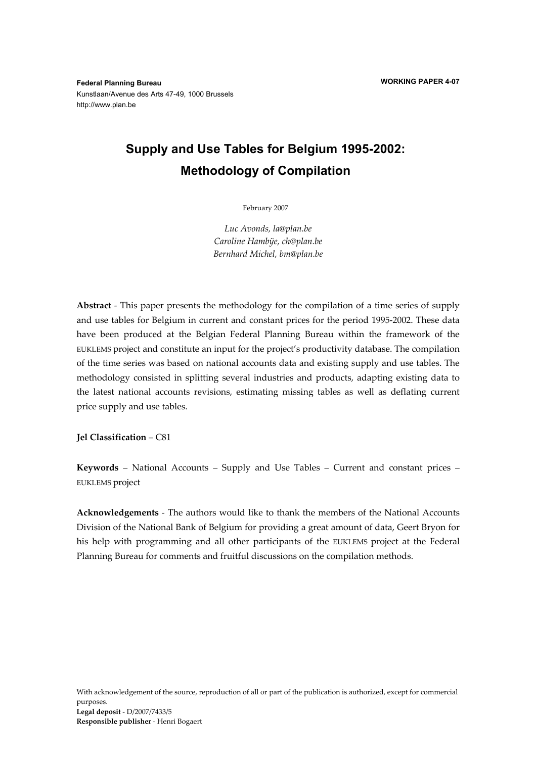**Federal Planning Bureau**  Kunstlaan/Avenue des Arts 47-49, 1000 Brussels http://www.plan.be

# **Supply and Use Tables for Belgium 1995-2002: Methodology of Compilation**

February 2007

*Luc Avonds, la@plan.be Caroline Hambÿe, ch@plan.be Bernhard Michel, bm@plan.be* 

**Abstract** - This paper presents the methodology for the compilation of a time series of supply and use tables for Belgium in current and constant prices for the period 1995-2002. These data have been produced at the Belgian Federal Planning Bureau within the framework of the EUKLEMS project and constitute an input for the project's productivity database. The compilation of the time series was based on national accounts data and existing supply and use tables. The methodology consisted in splitting several industries and products, adapting existing data to the latest national accounts revisions, estimating missing tables as well as deflating current price supply and use tables.

**Jel Classification** – C81

**Keywords** – National Accounts – Supply and Use Tables – Current and constant prices – EUKLEMS project

**Acknowledgements** - The authors would like to thank the members of the National Accounts Division of the National Bank of Belgium for providing a great amount of data, Geert Bryon for his help with programming and all other participants of the EUKLEMS project at the Federal Planning Bureau for comments and fruitful discussions on the compilation methods.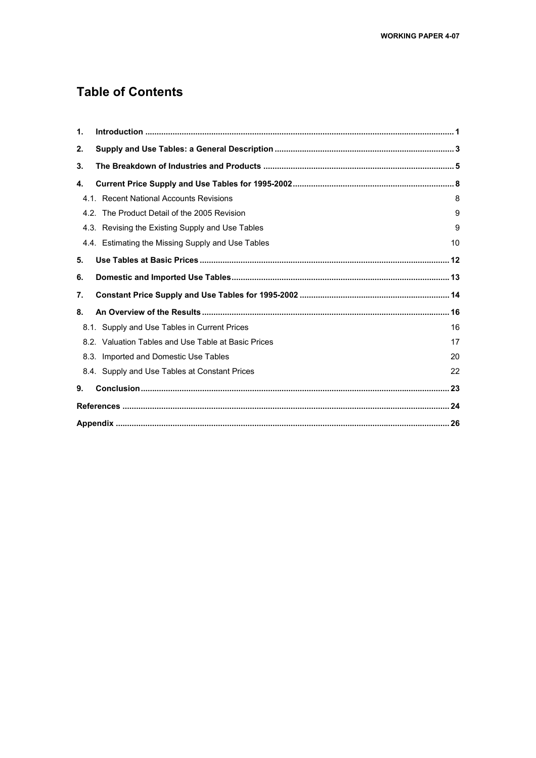## **Table of Contents**

| 1. |                                                     |    |
|----|-----------------------------------------------------|----|
| 2. |                                                     |    |
| 3. |                                                     |    |
| 4. |                                                     |    |
|    | 4.1. Recent National Accounts Revisions             | 8  |
|    | 4.2. The Product Detail of the 2005 Revision        | 9  |
|    | 4.3. Revising the Existing Supply and Use Tables    | 9  |
|    | 4.4. Estimating the Missing Supply and Use Tables   | 10 |
| 5. |                                                     |    |
| 6. |                                                     |    |
| 7. |                                                     |    |
| 8. |                                                     |    |
|    | 8.1. Supply and Use Tables in Current Prices        | 16 |
|    | 8.2. Valuation Tables and Use Table at Basic Prices | 17 |
|    | 8.3. Imported and Domestic Use Tables               | 20 |
|    | 8.4. Supply and Use Tables at Constant Prices       | 22 |
| 9. |                                                     |    |
|    |                                                     |    |
|    |                                                     |    |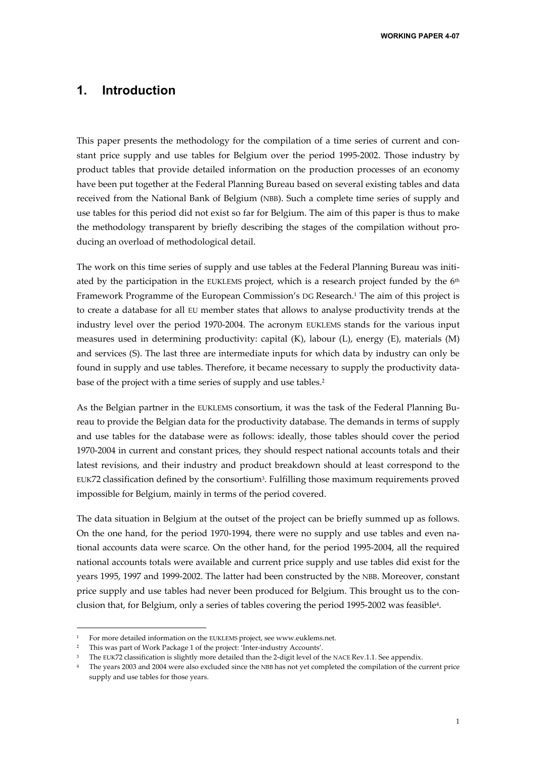### **1. Introduction**

This paper presents the methodology for the compilation of a time series of current and constant price supply and use tables for Belgium over the period 1995-2002. Those industry by product tables that provide detailed information on the production processes of an economy have been put together at the Federal Planning Bureau based on several existing tables and data received from the National Bank of Belgium (NBB). Such a complete time series of supply and use tables for this period did not exist so far for Belgium. The aim of this paper is thus to make the methodology transparent by briefly describing the stages of the compilation without producing an overload of methodological detail.

The work on this time series of supply and use tables at the Federal Planning Bureau was initiated by the participation in the EUKLEMS project, which is a research project funded by the  $6<sup>th</sup>$ Framework Programme of the European Commission's DG Research.1 The aim of this project is to create a database for all EU member states that allows to analyse productivity trends at the industry level over the period 1970-2004. The acronym EUKLEMS stands for the various input measures used in determining productivity: capital (K), labour (L), energy (E), materials (M) and services (S). The last three are intermediate inputs for which data by industry can only be found in supply and use tables. Therefore, it became necessary to supply the productivity database of the project with a time series of supply and use tables.<sup>2</sup>

As the Belgian partner in the EUKLEMS consortium, it was the task of the Federal Planning Bureau to provide the Belgian data for the productivity database. The demands in terms of supply and use tables for the database were as follows: ideally, those tables should cover the period 1970-2004 in current and constant prices, they should respect national accounts totals and their latest revisions, and their industry and product breakdown should at least correspond to the EUK72 classification defined by the consortium3. Fulfilling those maximum requirements proved impossible for Belgium, mainly in terms of the period covered.

The data situation in Belgium at the outset of the project can be briefly summed up as follows. On the one hand, for the period 1970-1994, there were no supply and use tables and even national accounts data were scarce. On the other hand, for the period 1995-2004, all the required national accounts totals were available and current price supply and use tables did exist for the years 1995, 1997 and 1999-2002. The latter had been constructed by the NBB. Moreover, constant price supply and use tables had never been produced for Belgium. This brought us to the conclusion that, for Belgium, only a series of tables covering the period 1995-2002 was feasible4.

<sup>1</sup> For more detailed information on the EUKLEMS project, see www.euklems.net.

<sup>2</sup> This was part of Work Package 1 of the project: 'Inter-industry Accounts'.

The EUK72 classification is slightly more detailed than the 2-digit level of the NACE Rev.1.1. See appendix.

<sup>&</sup>lt;sup>4</sup> The years 2003 and 2004 were also excluded since the NBB has not yet completed the compilation of the current price supply and use tables for those years.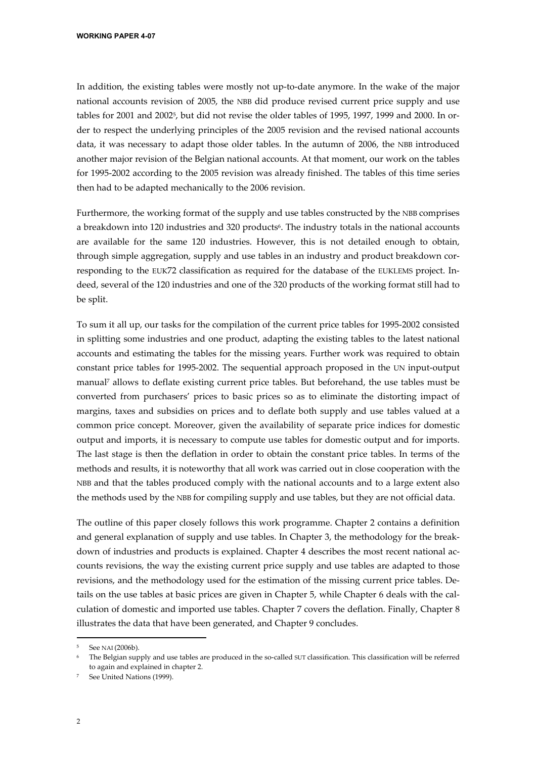In addition, the existing tables were mostly not up-to-date anymore. In the wake of the major national accounts revision of 2005, the NBB did produce revised current price supply and use tables for 2001 and 2002<sup>5</sup>, but did not revise the older tables of 1995, 1997, 1999 and 2000. In order to respect the underlying principles of the 2005 revision and the revised national accounts data, it was necessary to adapt those older tables. In the autumn of 2006, the NBB introduced another major revision of the Belgian national accounts. At that moment, our work on the tables for 1995-2002 according to the 2005 revision was already finished. The tables of this time series then had to be adapted mechanically to the 2006 revision.

Furthermore, the working format of the supply and use tables constructed by the NBB comprises a breakdown into 120 industries and 320 products<sup>6</sup>. The industry totals in the national accounts are available for the same 120 industries. However, this is not detailed enough to obtain, through simple aggregation, supply and use tables in an industry and product breakdown corresponding to the EUK72 classification as required for the database of the EUKLEMS project. Indeed, several of the 120 industries and one of the 320 products of the working format still had to be split.

To sum it all up, our tasks for the compilation of the current price tables for 1995-2002 consisted in splitting some industries and one product, adapting the existing tables to the latest national accounts and estimating the tables for the missing years. Further work was required to obtain constant price tables for 1995-2002. The sequential approach proposed in the UN input-output manual7 allows to deflate existing current price tables. But beforehand, the use tables must be converted from purchasers' prices to basic prices so as to eliminate the distorting impact of margins, taxes and subsidies on prices and to deflate both supply and use tables valued at a common price concept. Moreover, given the availability of separate price indices for domestic output and imports, it is necessary to compute use tables for domestic output and for imports. The last stage is then the deflation in order to obtain the constant price tables. In terms of the methods and results, it is noteworthy that all work was carried out in close cooperation with the NBB and that the tables produced comply with the national accounts and to a large extent also the methods used by the NBB for compiling supply and use tables, but they are not official data.

The outline of this paper closely follows this work programme. Chapter 2 contains a definition and general explanation of supply and use tables. In Chapter 3, the methodology for the breakdown of industries and products is explained. Chapter 4 describes the most recent national accounts revisions, the way the existing current price supply and use tables are adapted to those revisions, and the methodology used for the estimation of the missing current price tables. Details on the use tables at basic prices are given in Chapter 5, while Chapter 6 deals with the calculation of domestic and imported use tables. Chapter 7 covers the deflation. Finally, Chapter 8 illustrates the data that have been generated, and Chapter 9 concludes.

<sup>5</sup> See NAI (2006b).

<sup>6</sup> The Belgian supply and use tables are produced in the so-called SUT classification. This classification will be referred to again and explained in chapter 2.

See United Nations (1999).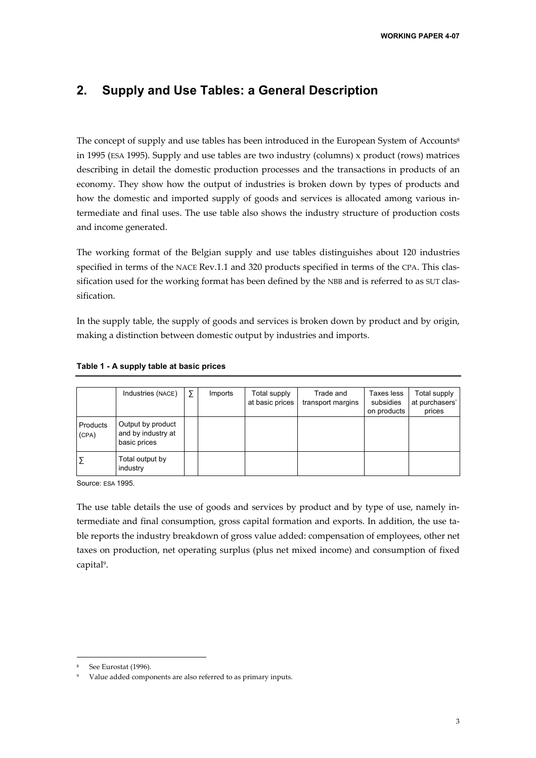## **2. Supply and Use Tables: a General Description**

The concept of supply and use tables has been introduced in the European System of Accounts8 in 1995 (ESA 1995). Supply and use tables are two industry (columns) x product (rows) matrices describing in detail the domestic production processes and the transactions in products of an economy. They show how the output of industries is broken down by types of products and how the domestic and imported supply of goods and services is allocated among various intermediate and final uses. The use table also shows the industry structure of production costs and income generated.

The working format of the Belgian supply and use tables distinguishes about 120 industries specified in terms of the NACE Rev.1.1 and 320 products specified in terms of the CPA. This classification used for the working format has been defined by the NBB and is referred to as SUT classification.

In the supply table, the supply of goods and services is broken down by product and by origin, making a distinction between domestic output by industries and imports.

|                   | Industries (NACE)                                       | Σ | Imports | Total supply<br>at basic prices | Trade and<br>transport margins | Taxes less<br>subsidies<br>on products | Total supply<br>at purchasers'<br>prices |
|-------------------|---------------------------------------------------------|---|---------|---------------------------------|--------------------------------|----------------------------------------|------------------------------------------|
| Products<br>(CPA) | Output by product<br>and by industry at<br>basic prices |   |         |                                 |                                |                                        |                                          |
|                   | Total output by<br>industry                             |   |         |                                 |                                |                                        |                                          |

#### **Table 1 - A supply table at basic prices**

Source: ESA 1995.

The use table details the use of goods and services by product and by type of use, namely intermediate and final consumption, gross capital formation and exports. In addition, the use table reports the industry breakdown of gross value added: compensation of employees, other net taxes on production, net operating surplus (plus net mixed income) and consumption of fixed capital<sup>9</sup>.

j

See Eurostat (1996).

Value added components are also referred to as primary inputs.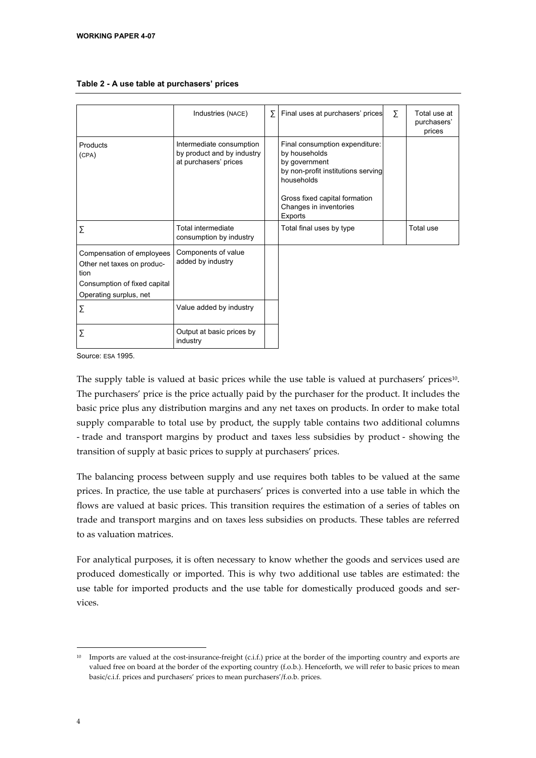|                                    | Industries (NACE)                                                               | Σ | Final uses at purchasers' prices                                                                                                                                                           | Σ | Total use at          |
|------------------------------------|---------------------------------------------------------------------------------|---|--------------------------------------------------------------------------------------------------------------------------------------------------------------------------------------------|---|-----------------------|
|                                    |                                                                                 |   |                                                                                                                                                                                            |   | purchasers'<br>prices |
| Products<br>(CPA)                  | Intermediate consumption<br>by product and by industry<br>at purchasers' prices |   | Final consumption expenditure:<br>by households<br>by government<br>by non-profit institutions serving<br>households<br>Gross fixed capital formation<br>Changes in inventories<br>Exports |   |                       |
| Σ                                  | Total intermediate<br>consumption by industry                                   |   | Total final uses by type                                                                                                                                                                   |   | Total use             |
| Compensation of employees          | Components of value                                                             |   |                                                                                                                                                                                            |   |                       |
| Other net taxes on produc-<br>tion | added by industry                                                               |   |                                                                                                                                                                                            |   |                       |
| Consumption of fixed capital       |                                                                                 |   |                                                                                                                                                                                            |   |                       |
| Operating surplus, net             |                                                                                 |   |                                                                                                                                                                                            |   |                       |
| Σ                                  | Value added by industry                                                         |   |                                                                                                                                                                                            |   |                       |
| Σ                                  | Output at basic prices by<br>industry                                           |   |                                                                                                                                                                                            |   |                       |

#### **Table 2 - A use table at purchasers' prices**

Source: ESA 1995.

The supply table is valued at basic prices while the use table is valued at purchasers' prices<sup>10</sup>. The purchasers' price is the price actually paid by the purchaser for the product. It includes the basic price plus any distribution margins and any net taxes on products. In order to make total supply comparable to total use by product, the supply table contains two additional columns - trade and transport margins by product and taxes less subsidies by product - showing the transition of supply at basic prices to supply at purchasers' prices.

The balancing process between supply and use requires both tables to be valued at the same prices. In practice, the use table at purchasers' prices is converted into a use table in which the flows are valued at basic prices. This transition requires the estimation of a series of tables on trade and transport margins and on taxes less subsidies on products. These tables are referred to as valuation matrices.

For analytical purposes, it is often necessary to know whether the goods and services used are produced domestically or imported. This is why two additional use tables are estimated: the use table for imported products and the use table for domestically produced goods and services.

 $10$  Imports are valued at the cost-insurance-freight (c.i.f.) price at the border of the importing country and exports are valued free on board at the border of the exporting country (f.o.b.). Henceforth, we will refer to basic prices to mean basic/c.i.f. prices and purchasers' prices to mean purchasers'/f.o.b. prices.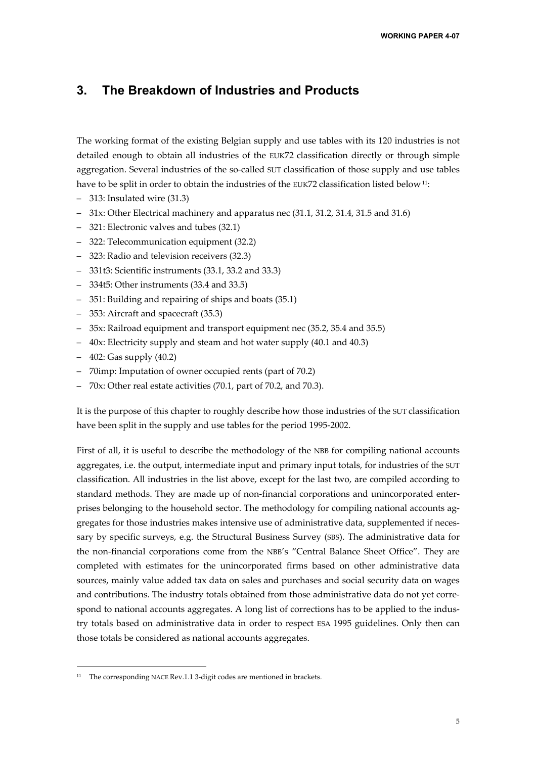## **3. The Breakdown of Industries and Products**

The working format of the existing Belgian supply and use tables with its 120 industries is not detailed enough to obtain all industries of the EUK72 classification directly or through simple aggregation. Several industries of the so-called SUT classification of those supply and use tables have to be split in order to obtain the industries of the EUK72 classification listed below <sup>11</sup>:

- 313: Insulated wire (31.3)
- 31x: Other Electrical machinery and apparatus nec (31.1, 31.2, 31.4, 31.5 and 31.6)
- 321: Electronic valves and tubes (32.1)
- 322: Telecommunication equipment (32.2)
- 323: Radio and television receivers (32.3)
- 331t3: Scientific instruments (33.1, 33.2 and 33.3)
- 334t5: Other instruments (33.4 and 33.5)
- 351: Building and repairing of ships and boats (35.1)
- 353: Aircraft and spacecraft (35.3)
- 35x: Railroad equipment and transport equipment nec (35.2, 35.4 and 35.5)
- 40x: Electricity supply and steam and hot water supply (40.1 and 40.3)
- 402: Gas supply (40.2)

-

- 70imp: Imputation of owner occupied rents (part of 70.2)
- 70x: Other real estate activities (70.1, part of 70.2, and 70.3).

It is the purpose of this chapter to roughly describe how those industries of the SUT classification have been split in the supply and use tables for the period 1995-2002.

First of all, it is useful to describe the methodology of the NBB for compiling national accounts aggregates, i.e. the output, intermediate input and primary input totals, for industries of the SUT classification. All industries in the list above, except for the last two, are compiled according to standard methods. They are made up of non-financial corporations and unincorporated enterprises belonging to the household sector. The methodology for compiling national accounts aggregates for those industries makes intensive use of administrative data, supplemented if necessary by specific surveys, e.g. the Structural Business Survey (SBS). The administrative data for the non-financial corporations come from the NBB's "Central Balance Sheet Office". They are completed with estimates for the unincorporated firms based on other administrative data sources, mainly value added tax data on sales and purchases and social security data on wages and contributions. The industry totals obtained from those administrative data do not yet correspond to national accounts aggregates. A long list of corrections has to be applied to the industry totals based on administrative data in order to respect ESA 1995 guidelines. Only then can those totals be considered as national accounts aggregates.

<sup>&</sup>lt;sup>11</sup> The corresponding NACE Rev.1.1 3-digit codes are mentioned in brackets.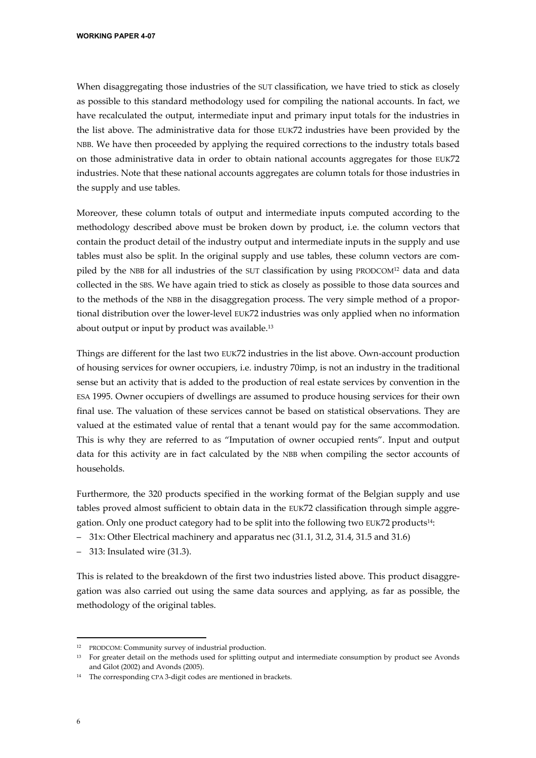When disaggregating those industries of the SUT classification, we have tried to stick as closely as possible to this standard methodology used for compiling the national accounts. In fact, we have recalculated the output, intermediate input and primary input totals for the industries in the list above. The administrative data for those EUK72 industries have been provided by the NBB. We have then proceeded by applying the required corrections to the industry totals based on those administrative data in order to obtain national accounts aggregates for those EUK72 industries. Note that these national accounts aggregates are column totals for those industries in the supply and use tables.

Moreover, these column totals of output and intermediate inputs computed according to the methodology described above must be broken down by product, i.e. the column vectors that contain the product detail of the industry output and intermediate inputs in the supply and use tables must also be split. In the original supply and use tables, these column vectors are compiled by the NBB for all industries of the SUT classification by using PRODCOM<sup>12</sup> data and data collected in the SBS. We have again tried to stick as closely as possible to those data sources and to the methods of the NBB in the disaggregation process. The very simple method of a proportional distribution over the lower-level EUK72 industries was only applied when no information about output or input by product was available.<sup>13</sup>

Things are different for the last two EUK72 industries in the list above. Own-account production of housing services for owner occupiers, i.e. industry 70imp, is not an industry in the traditional sense but an activity that is added to the production of real estate services by convention in the ESA 1995. Owner occupiers of dwellings are assumed to produce housing services for their own final use. The valuation of these services cannot be based on statistical observations. They are valued at the estimated value of rental that a tenant would pay for the same accommodation. This is why they are referred to as "Imputation of owner occupied rents". Input and output data for this activity are in fact calculated by the NBB when compiling the sector accounts of households.

Furthermore, the 320 products specified in the working format of the Belgian supply and use tables proved almost sufficient to obtain data in the EUK72 classification through simple aggregation. Only one product category had to be split into the following two EUK72 products14:

- 31x: Other Electrical machinery and apparatus nec (31.1, 31.2, 31.4, 31.5 and 31.6)
- 313: Insulated wire (31.3).

This is related to the breakdown of the first two industries listed above. This product disaggregation was also carried out using the same data sources and applying, as far as possible, the methodology of the original tables.

<sup>12</sup> PRODCOM: Community survey of industrial production.

<sup>&</sup>lt;sup>13</sup> For greater detail on the methods used for splitting output and intermediate consumption by product see Avonds and Gilot (2002) and Avonds (2005).

<sup>14</sup> The corresponding CPA 3-digit codes are mentioned in brackets.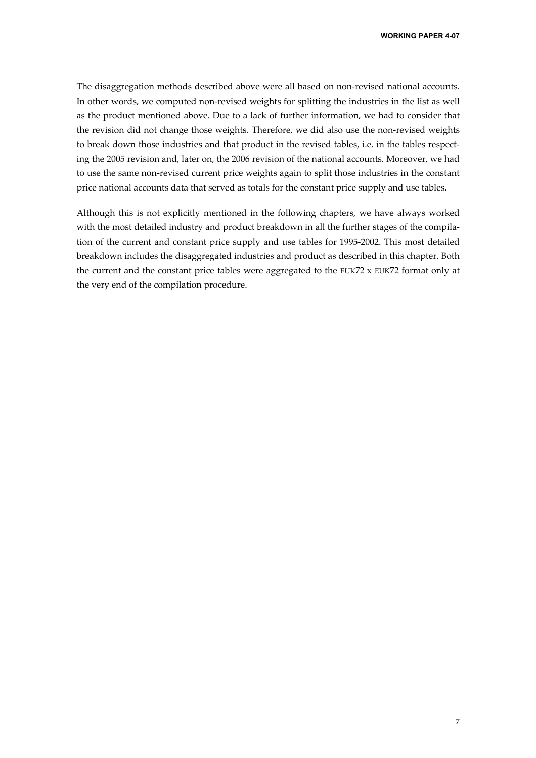The disaggregation methods described above were all based on non-revised national accounts. In other words, we computed non-revised weights for splitting the industries in the list as well as the product mentioned above. Due to a lack of further information, we had to consider that the revision did not change those weights. Therefore, we did also use the non-revised weights to break down those industries and that product in the revised tables, i.e. in the tables respecting the 2005 revision and, later on, the 2006 revision of the national accounts. Moreover, we had to use the same non-revised current price weights again to split those industries in the constant price national accounts data that served as totals for the constant price supply and use tables.

Although this is not explicitly mentioned in the following chapters, we have always worked with the most detailed industry and product breakdown in all the further stages of the compilation of the current and constant price supply and use tables for 1995-2002. This most detailed breakdown includes the disaggregated industries and product as described in this chapter. Both the current and the constant price tables were aggregated to the EUK72 x EUK72 format only at the very end of the compilation procedure.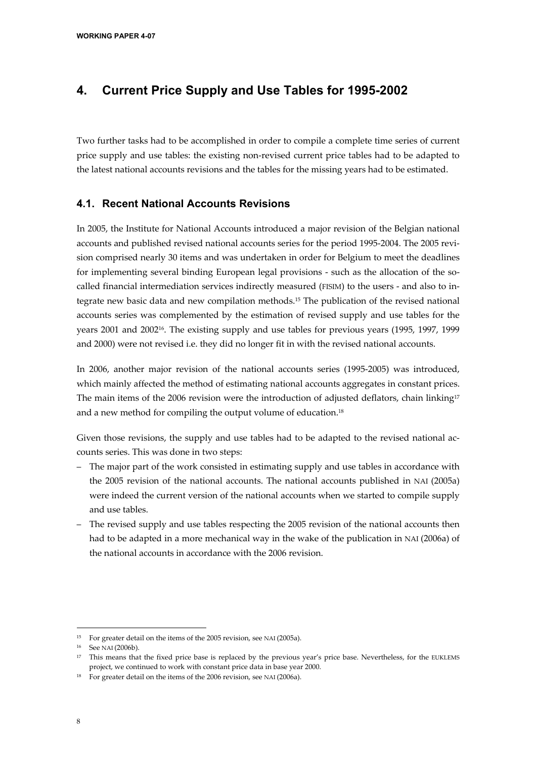## **4. Current Price Supply and Use Tables for 1995-2002**

Two further tasks had to be accomplished in order to compile a complete time series of current price supply and use tables: the existing non-revised current price tables had to be adapted to the latest national accounts revisions and the tables for the missing years had to be estimated.

#### **4.1. Recent National Accounts Revisions**

In 2005, the Institute for National Accounts introduced a major revision of the Belgian national accounts and published revised national accounts series for the period 1995-2004. The 2005 revision comprised nearly 30 items and was undertaken in order for Belgium to meet the deadlines for implementing several binding European legal provisions - such as the allocation of the socalled financial intermediation services indirectly measured (FISIM) to the users - and also to integrate new basic data and new compilation methods.15 The publication of the revised national accounts series was complemented by the estimation of revised supply and use tables for the years 2001 and 200216. The existing supply and use tables for previous years (1995, 1997, 1999 and 2000) were not revised i.e. they did no longer fit in with the revised national accounts.

In 2006, another major revision of the national accounts series (1995-2005) was introduced, which mainly affected the method of estimating national accounts aggregates in constant prices. The main items of the 2006 revision were the introduction of adjusted deflators, chain linking<sup>17</sup> and a new method for compiling the output volume of education.<sup>18</sup>

Given those revisions, the supply and use tables had to be adapted to the revised national accounts series. This was done in two steps:

- The major part of the work consisted in estimating supply and use tables in accordance with the 2005 revision of the national accounts. The national accounts published in NAI (2005a) were indeed the current version of the national accounts when we started to compile supply and use tables.
- The revised supply and use tables respecting the 2005 revision of the national accounts then had to be adapted in a more mechanical way in the wake of the publication in NAI (2006a) of the national accounts in accordance with the 2006 revision.

<sup>&</sup>lt;sup>15</sup> For greater detail on the items of the 2005 revision, see NAI (2005a).

<sup>16</sup> See NAI (2006b).

<sup>&</sup>lt;sup>17</sup> This means that the fixed price base is replaced by the previous year's price base. Nevertheless, for the EUKLEMS project, we continued to work with constant price data in base year 2000.

<sup>18</sup> For greater detail on the items of the 2006 revision, see NAI (2006a).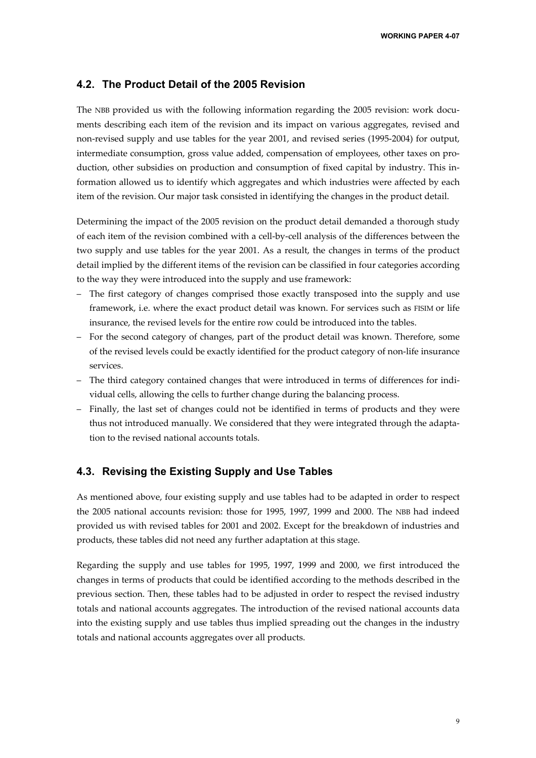#### **4.2. The Product Detail of the 2005 Revision**

The NBB provided us with the following information regarding the 2005 revision: work documents describing each item of the revision and its impact on various aggregates, revised and non-revised supply and use tables for the year 2001, and revised series (1995-2004) for output, intermediate consumption, gross value added, compensation of employees, other taxes on production, other subsidies on production and consumption of fixed capital by industry. This information allowed us to identify which aggregates and which industries were affected by each item of the revision. Our major task consisted in identifying the changes in the product detail.

Determining the impact of the 2005 revision on the product detail demanded a thorough study of each item of the revision combined with a cell-by-cell analysis of the differences between the two supply and use tables for the year 2001. As a result, the changes in terms of the product detail implied by the different items of the revision can be classified in four categories according to the way they were introduced into the supply and use framework:

- The first category of changes comprised those exactly transposed into the supply and use framework, i.e. where the exact product detail was known. For services such as FISIM or life insurance, the revised levels for the entire row could be introduced into the tables.
- For the second category of changes, part of the product detail was known. Therefore, some of the revised levels could be exactly identified for the product category of non-life insurance services.
- The third category contained changes that were introduced in terms of differences for individual cells, allowing the cells to further change during the balancing process.
- Finally, the last set of changes could not be identified in terms of products and they were thus not introduced manually. We considered that they were integrated through the adaptation to the revised national accounts totals.

#### **4.3. Revising the Existing Supply and Use Tables**

As mentioned above, four existing supply and use tables had to be adapted in order to respect the 2005 national accounts revision: those for 1995, 1997, 1999 and 2000. The NBB had indeed provided us with revised tables for 2001 and 2002. Except for the breakdown of industries and products, these tables did not need any further adaptation at this stage.

Regarding the supply and use tables for 1995, 1997, 1999 and 2000, we first introduced the changes in terms of products that could be identified according to the methods described in the previous section. Then, these tables had to be adjusted in order to respect the revised industry totals and national accounts aggregates. The introduction of the revised national accounts data into the existing supply and use tables thus implied spreading out the changes in the industry totals and national accounts aggregates over all products.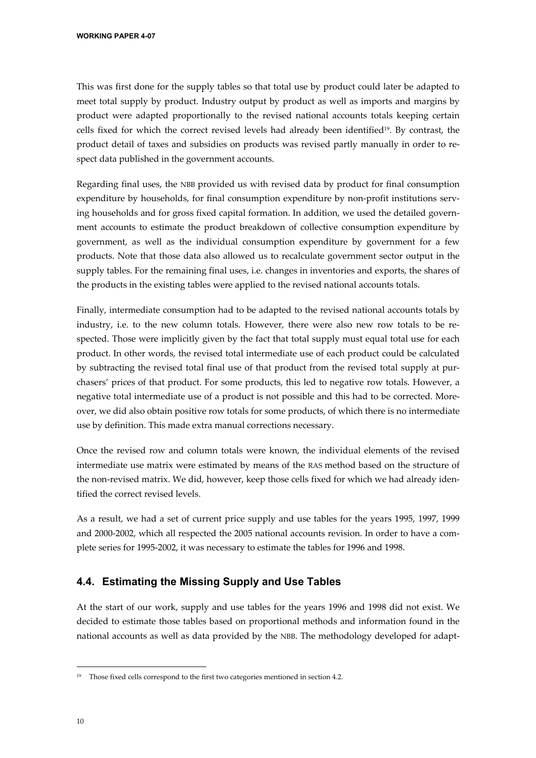This was first done for the supply tables so that total use by product could later be adapted to meet total supply by product. Industry output by product as well as imports and margins by product were adapted proportionally to the revised national accounts totals keeping certain cells fixed for which the correct revised levels had already been identified19. By contrast, the product detail of taxes and subsidies on products was revised partly manually in order to respect data published in the government accounts.

Regarding final uses, the NBB provided us with revised data by product for final consumption expenditure by households, for final consumption expenditure by non-profit institutions serving households and for gross fixed capital formation. In addition, we used the detailed government accounts to estimate the product breakdown of collective consumption expenditure by government, as well as the individual consumption expenditure by government for a few products. Note that those data also allowed us to recalculate government sector output in the supply tables. For the remaining final uses, i.e. changes in inventories and exports, the shares of the products in the existing tables were applied to the revised national accounts totals.

Finally, intermediate consumption had to be adapted to the revised national accounts totals by industry, i.e. to the new column totals. However, there were also new row totals to be respected. Those were implicitly given by the fact that total supply must equal total use for each product. In other words, the revised total intermediate use of each product could be calculated by subtracting the revised total final use of that product from the revised total supply at purchasers' prices of that product. For some products, this led to negative row totals. However, a negative total intermediate use of a product is not possible and this had to be corrected. Moreover, we did also obtain positive row totals for some products, of which there is no intermediate use by definition. This made extra manual corrections necessary.

Once the revised row and column totals were known, the individual elements of the revised intermediate use matrix were estimated by means of the RAS method based on the structure of the non-revised matrix. We did, however, keep those cells fixed for which we had already identified the correct revised levels.

As a result, we had a set of current price supply and use tables for the years 1995, 1997, 1999 and 2000-2002, which all respected the 2005 national accounts revision. In order to have a complete series for 1995-2002, it was necessary to estimate the tables for 1996 and 1998.

#### **4.4. Estimating the Missing Supply and Use Tables**

At the start of our work, supply and use tables for the years 1996 and 1998 did not exist. We decided to estimate those tables based on proportional methods and information found in the national accounts as well as data provided by the NBB. The methodology developed for adapt-

<sup>&</sup>lt;sup>19</sup> Those fixed cells correspond to the first two categories mentioned in section 4.2.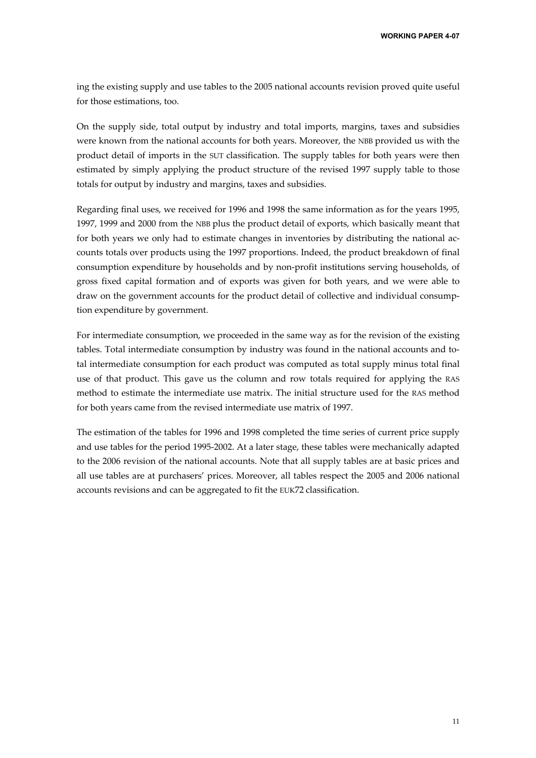ing the existing supply and use tables to the 2005 national accounts revision proved quite useful for those estimations, too.

On the supply side, total output by industry and total imports, margins, taxes and subsidies were known from the national accounts for both years. Moreover, the NBB provided us with the product detail of imports in the SUT classification. The supply tables for both years were then estimated by simply applying the product structure of the revised 1997 supply table to those totals for output by industry and margins, taxes and subsidies.

Regarding final uses, we received for 1996 and 1998 the same information as for the years 1995, 1997, 1999 and 2000 from the NBB plus the product detail of exports, which basically meant that for both years we only had to estimate changes in inventories by distributing the national accounts totals over products using the 1997 proportions. Indeed, the product breakdown of final consumption expenditure by households and by non-profit institutions serving households, of gross fixed capital formation and of exports was given for both years, and we were able to draw on the government accounts for the product detail of collective and individual consumption expenditure by government.

For intermediate consumption, we proceeded in the same way as for the revision of the existing tables. Total intermediate consumption by industry was found in the national accounts and total intermediate consumption for each product was computed as total supply minus total final use of that product. This gave us the column and row totals required for applying the RAS method to estimate the intermediate use matrix. The initial structure used for the RAS method for both years came from the revised intermediate use matrix of 1997.

The estimation of the tables for 1996 and 1998 completed the time series of current price supply and use tables for the period 1995-2002. At a later stage, these tables were mechanically adapted to the 2006 revision of the national accounts. Note that all supply tables are at basic prices and all use tables are at purchasers' prices. Moreover, all tables respect the 2005 and 2006 national accounts revisions and can be aggregated to fit the EUK72 classification.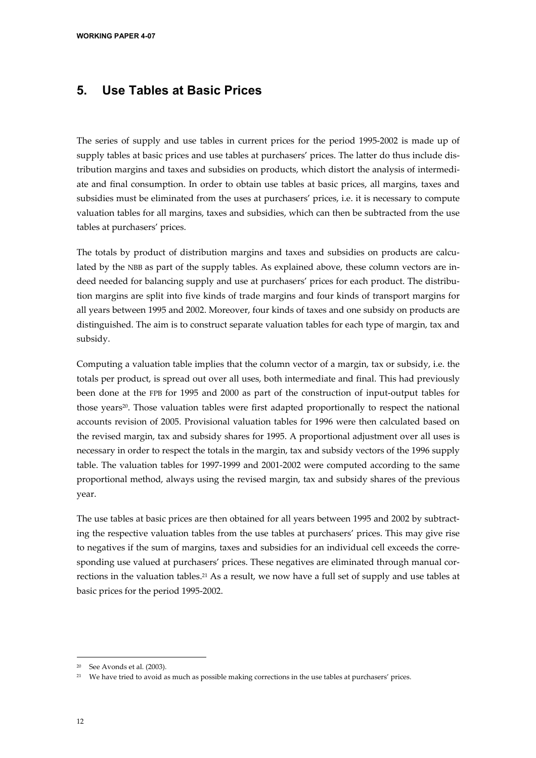## **5. Use Tables at Basic Prices**

The series of supply and use tables in current prices for the period 1995-2002 is made up of supply tables at basic prices and use tables at purchasers' prices. The latter do thus include distribution margins and taxes and subsidies on products, which distort the analysis of intermediate and final consumption. In order to obtain use tables at basic prices, all margins, taxes and subsidies must be eliminated from the uses at purchasers' prices, i.e. it is necessary to compute valuation tables for all margins, taxes and subsidies, which can then be subtracted from the use tables at purchasers' prices.

The totals by product of distribution margins and taxes and subsidies on products are calculated by the NBB as part of the supply tables. As explained above, these column vectors are indeed needed for balancing supply and use at purchasers' prices for each product. The distribution margins are split into five kinds of trade margins and four kinds of transport margins for all years between 1995 and 2002. Moreover, four kinds of taxes and one subsidy on products are distinguished. The aim is to construct separate valuation tables for each type of margin, tax and subsidy.

Computing a valuation table implies that the column vector of a margin, tax or subsidy, i.e. the totals per product, is spread out over all uses, both intermediate and final. This had previously been done at the FPB for 1995 and 2000 as part of the construction of input-output tables for those years<sup>20</sup>. Those valuation tables were first adapted proportionally to respect the national accounts revision of 2005. Provisional valuation tables for 1996 were then calculated based on the revised margin, tax and subsidy shares for 1995. A proportional adjustment over all uses is necessary in order to respect the totals in the margin, tax and subsidy vectors of the 1996 supply table. The valuation tables for 1997-1999 and 2001-2002 were computed according to the same proportional method, always using the revised margin, tax and subsidy shares of the previous year.

The use tables at basic prices are then obtained for all years between 1995 and 2002 by subtracting the respective valuation tables from the use tables at purchasers' prices. This may give rise to negatives if the sum of margins, taxes and subsidies for an individual cell exceeds the corresponding use valued at purchasers' prices. These negatives are eliminated through manual corrections in the valuation tables.21 As a result, we now have a full set of supply and use tables at basic prices for the period 1995-2002.

j

See Avonds et al. (2003).

<sup>&</sup>lt;sup>21</sup> We have tried to avoid as much as possible making corrections in the use tables at purchasers' prices.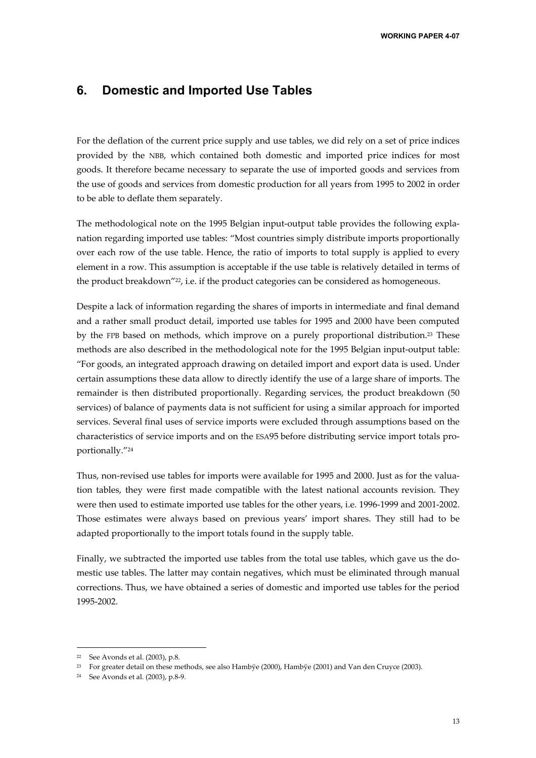### **6. Domestic and Imported Use Tables**

For the deflation of the current price supply and use tables, we did rely on a set of price indices provided by the NBB, which contained both domestic and imported price indices for most goods. It therefore became necessary to separate the use of imported goods and services from the use of goods and services from domestic production for all years from 1995 to 2002 in order to be able to deflate them separately.

The methodological note on the 1995 Belgian input-output table provides the following explanation regarding imported use tables: "Most countries simply distribute imports proportionally over each row of the use table. Hence, the ratio of imports to total supply is applied to every element in a row. This assumption is acceptable if the use table is relatively detailed in terms of the product breakdown"<sup>22</sup>, i.e. if the product categories can be considered as homogeneous.

Despite a lack of information regarding the shares of imports in intermediate and final demand and a rather small product detail, imported use tables for 1995 and 2000 have been computed by the FPB based on methods, which improve on a purely proportional distribution.<sup>23</sup> These methods are also described in the methodological note for the 1995 Belgian input-output table: "For goods, an integrated approach drawing on detailed import and export data is used. Under certain assumptions these data allow to directly identify the use of a large share of imports. The remainder is then distributed proportionally. Regarding services, the product breakdown (50 services) of balance of payments data is not sufficient for using a similar approach for imported services. Several final uses of service imports were excluded through assumptions based on the characteristics of service imports and on the ESA95 before distributing service import totals proportionally."24

Thus, non-revised use tables for imports were available for 1995 and 2000. Just as for the valuation tables, they were first made compatible with the latest national accounts revision. They were then used to estimate imported use tables for the other years, i.e. 1996-1999 and 2001-2002. Those estimates were always based on previous years' import shares. They still had to be adapted proportionally to the import totals found in the supply table.

Finally, we subtracted the imported use tables from the total use tables, which gave us the domestic use tables. The latter may contain negatives, which must be eliminated through manual corrections. Thus, we have obtained a series of domestic and imported use tables for the period 1995-2002.

1

<sup>22</sup> See Avonds et al. (2003), p.8.

<sup>&</sup>lt;sup>23</sup> For greater detail on these methods, see also Hambÿe (2000), Hambÿe (2001) and Van den Cruyce (2003).

<sup>24</sup> See Avonds et al. (2003), p.8-9.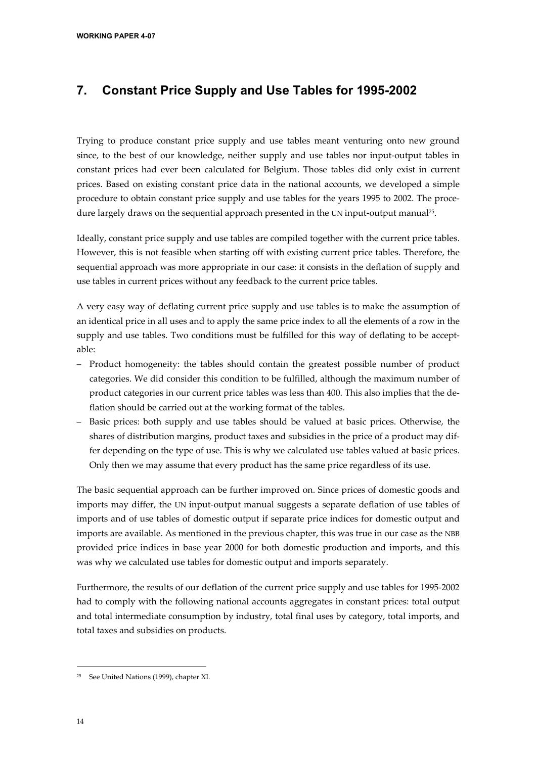## **7. Constant Price Supply and Use Tables for 1995-2002**

Trying to produce constant price supply and use tables meant venturing onto new ground since, to the best of our knowledge, neither supply and use tables nor input-output tables in constant prices had ever been calculated for Belgium. Those tables did only exist in current prices. Based on existing constant price data in the national accounts, we developed a simple procedure to obtain constant price supply and use tables for the years 1995 to 2002. The procedure largely draws on the sequential approach presented in the UN input-output manual<sup>25</sup>.

Ideally, constant price supply and use tables are compiled together with the current price tables. However, this is not feasible when starting off with existing current price tables. Therefore, the sequential approach was more appropriate in our case: it consists in the deflation of supply and use tables in current prices without any feedback to the current price tables.

A very easy way of deflating current price supply and use tables is to make the assumption of an identical price in all uses and to apply the same price index to all the elements of a row in the supply and use tables. Two conditions must be fulfilled for this way of deflating to be acceptable:

- Product homogeneity: the tables should contain the greatest possible number of product categories. We did consider this condition to be fulfilled, although the maximum number of product categories in our current price tables was less than 400. This also implies that the deflation should be carried out at the working format of the tables.
- Basic prices: both supply and use tables should be valued at basic prices. Otherwise, the shares of distribution margins, product taxes and subsidies in the price of a product may differ depending on the type of use. This is why we calculated use tables valued at basic prices. Only then we may assume that every product has the same price regardless of its use.

The basic sequential approach can be further improved on. Since prices of domestic goods and imports may differ, the UN input-output manual suggests a separate deflation of use tables of imports and of use tables of domestic output if separate price indices for domestic output and imports are available. As mentioned in the previous chapter, this was true in our case as the NBB provided price indices in base year 2000 for both domestic production and imports, and this was why we calculated use tables for domestic output and imports separately.

Furthermore, the results of our deflation of the current price supply and use tables for 1995-2002 had to comply with the following national accounts aggregates in constant prices: total output and total intermediate consumption by industry, total final uses by category, total imports, and total taxes and subsidies on products.

<sup>-</sup>25 See United Nations (1999), chapter XI.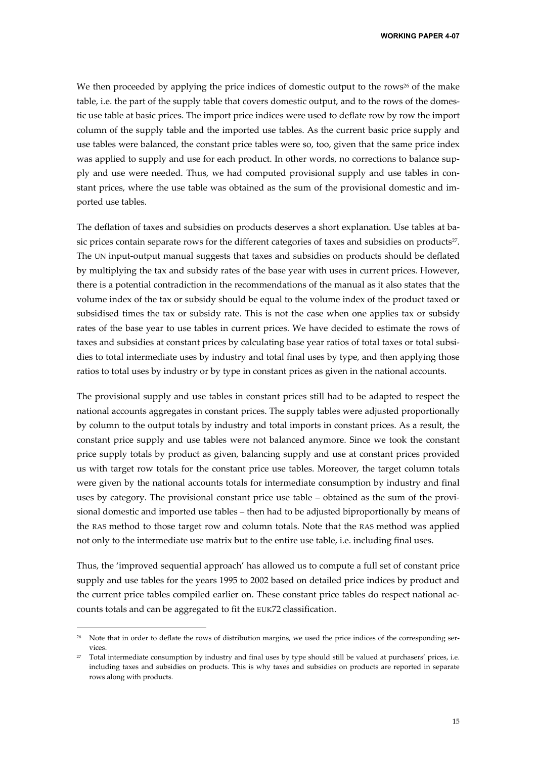We then proceeded by applying the price indices of domestic output to the rows<sup>26</sup> of the make table, i.e. the part of the supply table that covers domestic output, and to the rows of the domestic use table at basic prices. The import price indices were used to deflate row by row the import column of the supply table and the imported use tables. As the current basic price supply and use tables were balanced, the constant price tables were so, too, given that the same price index was applied to supply and use for each product. In other words, no corrections to balance supply and use were needed. Thus, we had computed provisional supply and use tables in constant prices, where the use table was obtained as the sum of the provisional domestic and imported use tables.

The deflation of taxes and subsidies on products deserves a short explanation. Use tables at basic prices contain separate rows for the different categories of taxes and subsidies on products<sup>27</sup>. The UN input-output manual suggests that taxes and subsidies on products should be deflated by multiplying the tax and subsidy rates of the base year with uses in current prices. However, there is a potential contradiction in the recommendations of the manual as it also states that the volume index of the tax or subsidy should be equal to the volume index of the product taxed or subsidised times the tax or subsidy rate. This is not the case when one applies tax or subsidy rates of the base year to use tables in current prices. We have decided to estimate the rows of taxes and subsidies at constant prices by calculating base year ratios of total taxes or total subsidies to total intermediate uses by industry and total final uses by type, and then applying those ratios to total uses by industry or by type in constant prices as given in the national accounts.

The provisional supply and use tables in constant prices still had to be adapted to respect the national accounts aggregates in constant prices. The supply tables were adjusted proportionally by column to the output totals by industry and total imports in constant prices. As a result, the constant price supply and use tables were not balanced anymore. Since we took the constant price supply totals by product as given, balancing supply and use at constant prices provided us with target row totals for the constant price use tables. Moreover, the target column totals were given by the national accounts totals for intermediate consumption by industry and final uses by category. The provisional constant price use table – obtained as the sum of the provisional domestic and imported use tables – then had to be adjusted biproportionally by means of the RAS method to those target row and column totals. Note that the RAS method was applied not only to the intermediate use matrix but to the entire use table, i.e. including final uses.

Thus, the 'improved sequential approach' has allowed us to compute a full set of constant price supply and use tables for the years 1995 to 2002 based on detailed price indices by product and the current price tables compiled earlier on. These constant price tables do respect national accounts totals and can be aggregated to fit the EUK72 classification.

Note that in order to deflate the rows of distribution margins, we used the price indices of the corresponding services.

<sup>27</sup> Total intermediate consumption by industry and final uses by type should still be valued at purchasers' prices, i.e. including taxes and subsidies on products. This is why taxes and subsidies on products are reported in separate rows along with products.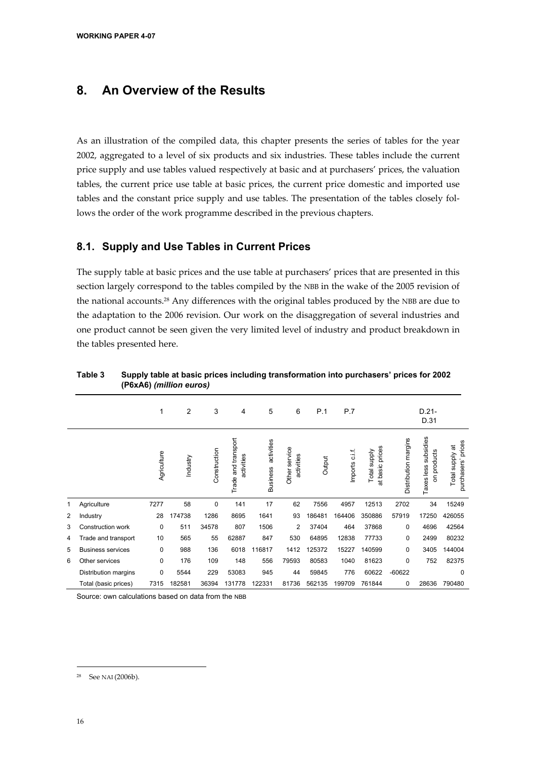## **8. An Overview of the Results**

As an illustration of the compiled data, this chapter presents the series of tables for the year 2002, aggregated to a level of six products and six industries. These tables include the current price supply and use tables valued respectively at basic and at purchasers' prices, the valuation tables, the current price use table at basic prices, the current price domestic and imported use tables and the constant price supply and use tables. The presentation of the tables closely follows the order of the work programme described in the previous chapters.

#### **8.1. Supply and Use Tables in Current Prices**

The supply table at basic prices and the use table at purchasers' prices that are presented in this section largely correspond to the tables compiled by the NBB in the wake of the 2005 revision of the national accounts.28 Any differences with the original tables produced by the NBB are due to the adaptation to the 2006 revision. Our work on the disaggregation of several industries and one product cannot be seen given the very limited level of industry and product breakdown in the tables presented here.

|   |                          | 1           | 2        | 3            | 4                                     | 5                             | 6                           | P.1    | P.7            |                                 |                      | $D.21-$<br>D.31                        |                                            |
|---|--------------------------|-------------|----------|--------------|---------------------------------------|-------------------------------|-----------------------------|--------|----------------|---------------------------------|----------------------|----------------------------------------|--------------------------------------------|
|   |                          | Agriculture | Industry | Construction | and transport<br>activities<br>Trade; | activities<br><b>Business</b> | Other service<br>activities | Output | Imports c.i.f. | at basic prices<br>Total supply | Distribution margins | subsidies<br>on products<br>Taxes less | prices<br>ಹ<br>Total supply<br>purchasers' |
| 1 | Agriculture              | 7277        | 58       | 0            | 141                                   | 17                            | 62                          | 7556   | 4957           | 12513                           | 2702                 | 34                                     | 15249                                      |
| 2 | Industry                 | 28          | 174738   | 1286         | 8695                                  | 1641                          | 93                          | 186481 | 164406         | 350886                          | 57919                | 17250                                  | 426055                                     |
| 3 | Construction work        | 0           | 511      | 34578        | 807                                   | 1506                          | $\overline{c}$              | 37404  | 464            | 37868                           | $\mathbf 0$          | 4696                                   | 42564                                      |
| 4 | Trade and transport      | 10          | 565      | 55           | 62887                                 | 847                           | 530                         | 64895  | 12838          | 77733                           | $\mathbf 0$          | 2499                                   | 80232                                      |
| 5 | <b>Business services</b> | $\mathbf 0$ | 988      | 136          | 6018                                  | 116817                        | 1412                        | 125372 | 15227          | 140599                          | $\mathbf 0$          | 3405                                   | 144004                                     |
| 6 | Other services           | $\mathbf 0$ | 176      | 109          | 148                                   | 556                           | 79593                       | 80583  | 1040           | 81623                           | $\mathbf 0$          | 752                                    | 82375                                      |
|   | Distribution margins     | 0           | 5544     | 229          | 53083                                 | 945                           | 44                          | 59845  | 776            | 60622                           | $-60622$             |                                        | $\mathbf 0$                                |
|   | Total (basic prices)     | 7315        | 182581   | 36394        | 131778                                | 122331                        | 81736                       | 562135 | 199709         | 761844                          | 0                    | 28636                                  | 790480                                     |

**Table 3 Supply table at basic prices including transformation into purchasers' prices for 2002 (P6xA6)** *(million euros)*

Source: own calculations based on data from the NBB

<sup>28</sup> See NAI (2006b).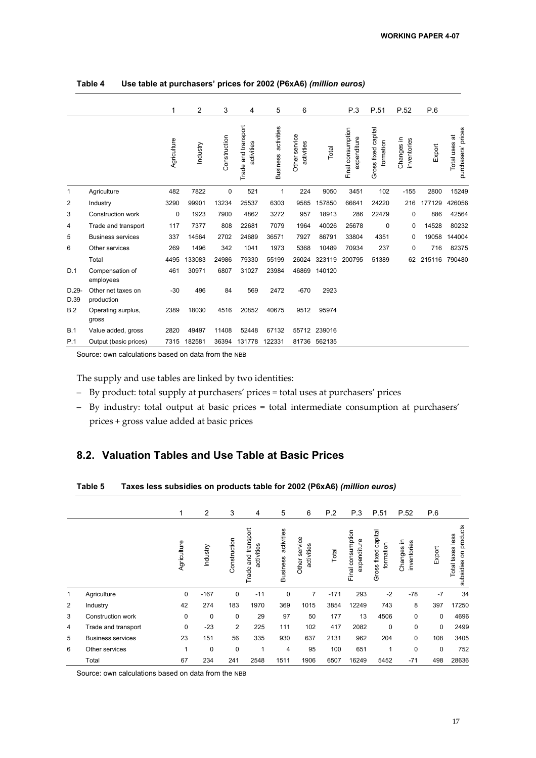|                 |                                  | 1           | $\overline{2}$ | 3            | 4                                 | 5                             | 6                           |              | P.3                              | P.51                             | P.52                      | P.6    |                                        |
|-----------------|----------------------------------|-------------|----------------|--------------|-----------------------------------|-------------------------------|-----------------------------|--------------|----------------------------------|----------------------------------|---------------------------|--------|----------------------------------------|
|                 |                                  | Agriculture | Industry       | Construction | Trade and transport<br>activities | activities<br><b>Business</b> | Other service<br>activities | Total        | Final consumption<br>expenditure | Gross fixed capital<br>formation | Changes in<br>inventories | Export | prices<br>Total uses at<br>purchasers' |
| 1               | Agriculture                      | 482         | 7822           | 0            | 521                               | 1                             | 224                         | 9050         | 3451                             | 102                              | $-155$                    | 2800   | 15249                                  |
| 2               | Industry                         | 3290        | 99901          | 13234        | 25537                             | 6303                          | 9585                        | 157850       | 66641                            | 24220                            | 216                       | 177129 | 426056                                 |
| 3               | <b>Construction work</b>         | 0           | 1923           | 7900         | 4862                              | 3272                          | 957                         | 18913        | 286                              | 22479                            | 0                         | 886    | 42564                                  |
| 4               | Trade and transport              | 117         | 7377           | 808          | 22681                             | 7079                          | 1964                        | 40026        | 25678                            | 0                                | 0                         | 14528  | 80232                                  |
| 5               | <b>Business services</b>         | 337         | 14564          | 2702         | 24689                             | 36571                         | 7927                        | 86791        | 33804                            | 4351                             | 0                         | 19058  | 144004                                 |
| 6               | Other services                   | 269         | 1496           | 342          | 1041                              | 1973                          | 5368                        | 10489        | 70934                            | 237                              | 0                         | 716    | 82375                                  |
|                 | Total                            | 4495        | 133083         | 24986        | 79330                             | 55199                         | 26024                       | 323119       | 200795                           | 51389                            | 62                        | 215116 | 790480                                 |
| D.1             | Compensation of<br>employees     | 461         | 30971          | 6807         | 31027                             | 23984                         | 46869                       | 140120       |                                  |                                  |                           |        |                                        |
| $D.29-$<br>D.39 | Other net taxes on<br>production | $-30$       | 496            | 84           | 569                               | 2472                          | $-670$                      | 2923         |                                  |                                  |                           |        |                                        |
| B.2             | Operating surplus,<br>gross      | 2389        | 18030          | 4516         | 20852                             | 40675                         | 9512                        | 95974        |                                  |                                  |                           |        |                                        |
| B.1             | Value added, gross               | 2820        | 49497          | 11408        | 52448                             | 67132                         |                             | 55712 239016 |                                  |                                  |                           |        |                                        |
| P.1             | Output (basic prices)            | 7315        | 182581         | 36394        | 131778                            | 122331                        | 81736                       | 562135       |                                  |                                  |                           |        |                                        |

**Table 4 Use table at purchasers' prices for 2002 (P6xA6)** *(million euros)*

Source: own calculations based on data from the NBB

The supply and use tables are linked by two identities:

- By product: total supply at purchasers' prices = total uses at purchasers' prices
- By industry: total output at basic prices = total intermediate consumption at purchasers' prices + gross value added at basic prices

### **8.2. Valuation Tables and Use Table at Basic Prices**

|                |                          | 1           | $\overline{2}$ | 3              | 4                                    | 5                             | 6                           | P.2    | P.3                              | P.51                             | P.52                      | P.6    |                                              |
|----------------|--------------------------|-------------|----------------|----------------|--------------------------------------|-------------------------------|-----------------------------|--------|----------------------------------|----------------------------------|---------------------------|--------|----------------------------------------------|
|                |                          | Agriculture | Industry       | Construction   | and transport<br>activities<br>Trade | activities<br><b>Business</b> | Other service<br>activities | Total  | Final consumption<br>expenditure | Gross fixed capital<br>formation | Changes in<br>inventories | Export | on products<br>Total taxes less<br>subsidies |
| 1              | Agriculture              | 0           | $-167$         | $\mathbf 0$    | $-11$                                | 0                             | $\overline{7}$              | $-171$ | 293                              | $-2$                             | $-78$                     | $-7$   | 34                                           |
| $\overline{2}$ | Industry                 | 42          | 274            | 183            | 1970                                 | 369                           | 1015                        | 3854   | 12249                            | 743                              | 8                         | 397    | 17250                                        |
| 3              | Construction work        | 0           | 0              | 0              | 29                                   | 97                            | 50                          | 177    | 13                               | 4506                             | $\mathbf 0$               | 0      | 4696                                         |
| 4              | Trade and transport      | 0           | $-23$          | $\overline{2}$ | 225                                  | 111                           | 102                         | 417    | 2082                             | 0                                | $\mathbf 0$               | 0      | 2499                                         |
| 5              | <b>Business services</b> | 23          | 151            | 56             | 335                                  | 930                           | 637                         | 2131   | 962                              | 204                              | $\mathbf 0$               | 108    | 3405                                         |
| 6              | Other services           | 1           | 0              | $\mathbf 0$    |                                      | 4                             | 95                          | 100    | 651                              | 1                                | 0                         | 0      | 752                                          |
|                | Total                    | 67          | 234            | 241            | 2548                                 | 1511                          | 1906                        | 6507   | 16249                            | 5452                             | $-71$                     | 498    | 28636                                        |

Source: own calculations based on data from the NBB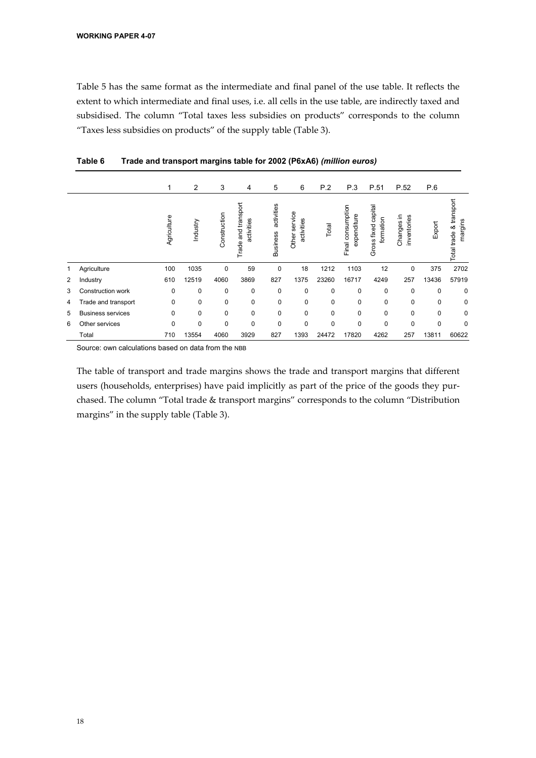Table 5 has the same format as the intermediate and final panel of the use table. It reflects the extent to which intermediate and final uses, i.e. all cells in the use table, are indirectly taxed and subsidised. The column "Total taxes less subsidies on products" corresponds to the column "Taxes less subsidies on products" of the supply table (Table 3).

|   |                          | 1           | 2           | 3            | 4                                    | 5                             | 6                              | P.2         | P.3                                 | P.51                                | P.52                      | P.6      |                                    |
|---|--------------------------|-------------|-------------|--------------|--------------------------------------|-------------------------------|--------------------------------|-------------|-------------------------------------|-------------------------------------|---------------------------|----------|------------------------------------|
|   |                          | Agriculture | Industry    | Construction | and transport<br>activities<br>Trade | activities<br><b>Business</b> | service<br>activities<br>Other | Total       | consumption<br>expenditure<br>Final | capital<br>formation<br>Gross fixed | Changes in<br>inventories | Export   | Total trade & transport<br>margins |
|   | Agriculture              | 100         | 1035        | 0            | 59                                   | $\mathbf 0$                   | 18                             | 1212        | 1103                                | 12                                  | 0                         | 375      | 2702                               |
| 2 | Industry                 | 610         | 12519       | 4060         | 3869                                 | 827                           | 1375                           | 23260       | 16717                               | 4249                                | 257                       | 13436    | 57919                              |
| 3 | Construction work        | 0           | $\mathbf 0$ | 0            | 0                                    | $\mathbf 0$                   | $\mathbf 0$                    | 0           | 0                                   | $\mathbf 0$                         | 0                         | 0        | 0                                  |
| 4 | Trade and transport      | 0           | 0           | 0            | 0                                    | 0                             | 0                              | $\mathbf 0$ | 0                                   | 0                                   | 0                         | 0        | 0                                  |
| 5 | <b>Business services</b> | $\Omega$    | $\Omega$    | $\Omega$     | 0                                    | $\Omega$                      | $\mathbf 0$                    | $\Omega$    | 0                                   | $\Omega$                            | 0                         | $\Omega$ | 0                                  |
| 6 | Other services           | 0           | $\mathbf 0$ | $\mathbf 0$  | 0                                    | $\mathbf 0$                   | $\mathbf 0$                    | 0           | 0                                   | $\mathbf 0$                         | 0                         | 0        | 0                                  |
|   | Total                    | 710         | 13554       | 4060         | 3929                                 | 827                           | 1393                           | 24472       | 17820                               | 4262                                | 257                       | 13811    | 60622                              |

**Table 6 Trade and transport margins table for 2002 (P6xA6)** *(million euros)*

Source: own calculations based on data from the NBB

The table of transport and trade margins shows the trade and transport margins that different users (households, enterprises) have paid implicitly as part of the price of the goods they purchased. The column "Total trade & transport margins" corresponds to the column "Distribution margins" in the supply table (Table 3).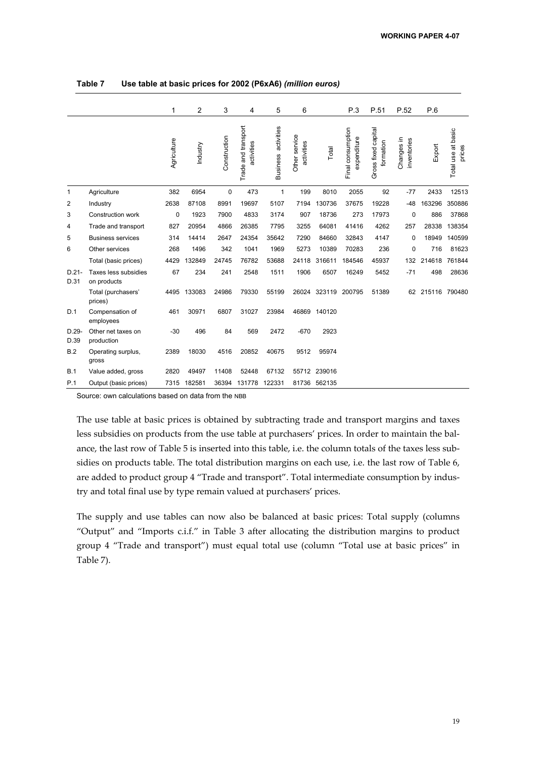|                 |                                     | 1           | $\overline{2}$ | 3            | 4                                 | 5                             | 6                           |              | P.3                              | P.51                             | P.52                      | P.6    |                              |
|-----------------|-------------------------------------|-------------|----------------|--------------|-----------------------------------|-------------------------------|-----------------------------|--------------|----------------------------------|----------------------------------|---------------------------|--------|------------------------------|
|                 |                                     | Agriculture | Industry       | Construction | Trade and transport<br>activities | activities<br><b>Business</b> | Other service<br>activities | Total        | Final consumption<br>expenditure | Gross fixed capital<br>formation | Changes in<br>inventories | Export | Total use at basic<br>prices |
| 1               | Agriculture                         | 382         | 6954           | $\mathbf 0$  | 473                               | 1                             | 199                         | 8010         | 2055                             | 92                               | $-77$                     | 2433   | 12513                        |
| 2               | Industry                            | 2638        | 87108          | 8991         | 19697                             | 5107                          | 7194                        | 130736       | 37675                            | 19228                            | $-48$                     | 163296 | 350886                       |
| 3               | Construction work                   | $\mathbf 0$ | 1923           | 7900         | 4833                              | 3174                          | 907                         | 18736        | 273                              | 17973                            | 0                         | 886    | 37868                        |
| 4               | Trade and transport                 | 827         | 20954          | 4866         | 26385                             | 7795                          | 3255                        | 64081        | 41416                            | 4262                             | 257                       | 28338  | 138354                       |
| 5               | <b>Business services</b>            | 314         | 14414          | 2647         | 24354                             | 35642                         | 7290                        | 84660        | 32843                            | 4147                             | 0                         | 18949  | 140599                       |
| 6               | Other services                      | 268         | 1496           | 342          | 1041                              | 1969                          | 5273                        | 10389        | 70283                            | 236                              | $\mathbf 0$               | 716    | 81623                        |
|                 | Total (basic prices)                | 4429        | 132849         | 24745        | 76782                             | 53688                         | 24118                       | 316611       | 184546                           | 45937                            | 132                       | 214618 | 761844                       |
| $D.21-$<br>D.31 | Taxes less subsidies<br>on products | 67          | 234            | 241          | 2548                              | 1511                          | 1906                        | 6507         | 16249                            | 5452                             | $-71$                     | 498    | 28636                        |
|                 | Total (purchasers'<br>prices)       | 4495        | 133083         | 24986        | 79330                             | 55199                         | 26024                       | 323119       | 200795                           | 51389                            | 62                        | 215116 | 790480                       |
| D.1             | Compensation of<br>employees        | 461         | 30971          | 6807         | 31027                             | 23984                         | 46869                       | 140120       |                                  |                                  |                           |        |                              |
| $D.29-$<br>D.39 | Other net taxes on<br>production    | $-30$       | 496            | 84           | 569                               | 2472                          | $-670$                      | 2923         |                                  |                                  |                           |        |                              |
| <b>B.2</b>      | Operating surplus,<br>gross         | 2389        | 18030          | 4516         | 20852                             | 40675                         | 9512                        | 95974        |                                  |                                  |                           |        |                              |
| B.1             | Value added, gross                  | 2820        | 49497          | 11408        | 52448                             | 67132                         |                             | 55712 239016 |                                  |                                  |                           |        |                              |
| P.1             | Output (basic prices)               | 7315        | 182581         | 36394        | 131778                            | 122331                        |                             | 81736 562135 |                                  |                                  |                           |        |                              |

**Table 7 Use table at basic prices for 2002 (P6xA6)** *(million euros)*

Source: own calculations based on data from the NBB

The use table at basic prices is obtained by subtracting trade and transport margins and taxes less subsidies on products from the use table at purchasers' prices. In order to maintain the balance, the last row of Table 5 is inserted into this table, i.e. the column totals of the taxes less subsidies on products table. The total distribution margins on each use, i.e. the last row of Table 6, are added to product group 4 "Trade and transport". Total intermediate consumption by industry and total final use by type remain valued at purchasers' prices.

The supply and use tables can now also be balanced at basic prices: Total supply (columns "Output" and "Imports c.i.f." in Table 3 after allocating the distribution margins to product group 4 "Trade and transport") must equal total use (column "Total use at basic prices" in Table 7).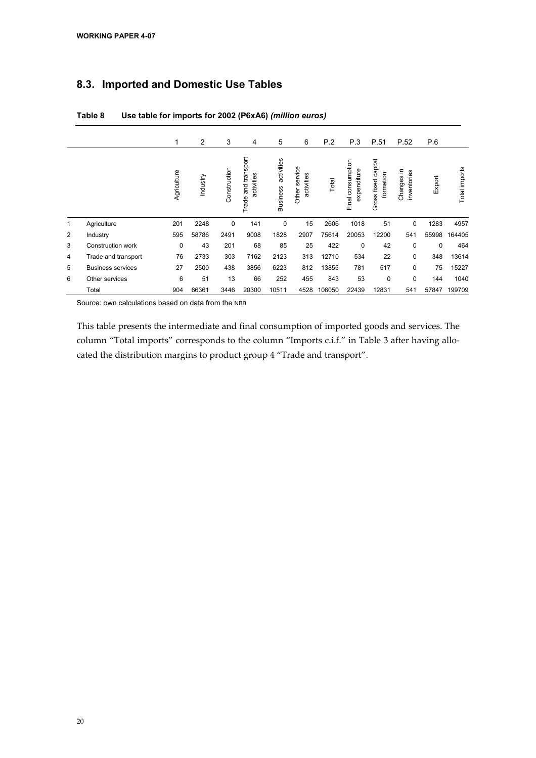### **8.3. Imported and Domestic Use Tables**

|   |                          | 1           | 2        | 3            | 4                                    | 5                             | 6                              | P.2    | P.3                              | P.51                                | P.52                      | P.6    |               |
|---|--------------------------|-------------|----------|--------------|--------------------------------------|-------------------------------|--------------------------------|--------|----------------------------------|-------------------------------------|---------------------------|--------|---------------|
|   |                          | Agriculture | Industry | Construction | and transport<br>activities<br>Trade | activities<br><b>Business</b> | service<br>activities<br>Other | Total  | Final consumption<br>expenditure | capital<br>formation<br>Gross fixed | Changes in<br>inventories | Export | Total imports |
| 1 | Agriculture              | 201         | 2248     | 0            | 141                                  | 0                             | 15                             | 2606   | 1018                             | 51                                  | 0                         | 1283   | 4957          |
| 2 | Industry                 | 595         | 58786    | 2491         | 9008                                 | 1828                          | 2907                           | 75614  | 20053                            | 12200                               | 541                       | 55998  | 164405        |
| 3 | Construction work        | $\mathbf 0$ | 43       | 201          | 68                                   | 85                            | 25                             | 422    | $\Omega$                         | 42                                  | 0                         | 0      | 464           |
| 4 | Trade and transport      | 76          | 2733     | 303          | 7162                                 | 2123                          | 313                            | 12710  | 534                              | 22                                  | 0                         | 348    | 13614         |
| 5 | <b>Business services</b> | 27          | 2500     | 438          | 3856                                 | 6223                          | 812                            | 13855  | 781                              | 517                                 | $\mathbf 0$               | 75     | 15227         |
| 6 | Other services           | 6           | 51       | 13           | 66                                   | 252                           | 455                            | 843    | 53                               | 0                                   | 0                         | 144    | 1040          |
|   | Total                    | 904         | 66361    | 3446         | 20300                                | 10511                         | 4528                           | 106050 | 22439                            | 12831                               | 541                       | 57847  | 199709        |

#### **Table 8 Use table for imports for 2002 (P6xA6)** *(million euros)*

Source: own calculations based on data from the NBB

This table presents the intermediate and final consumption of imported goods and services. The column "Total imports" corresponds to the column "Imports c.i.f." in Table 3 after having allocated the distribution margins to product group 4 "Trade and transport".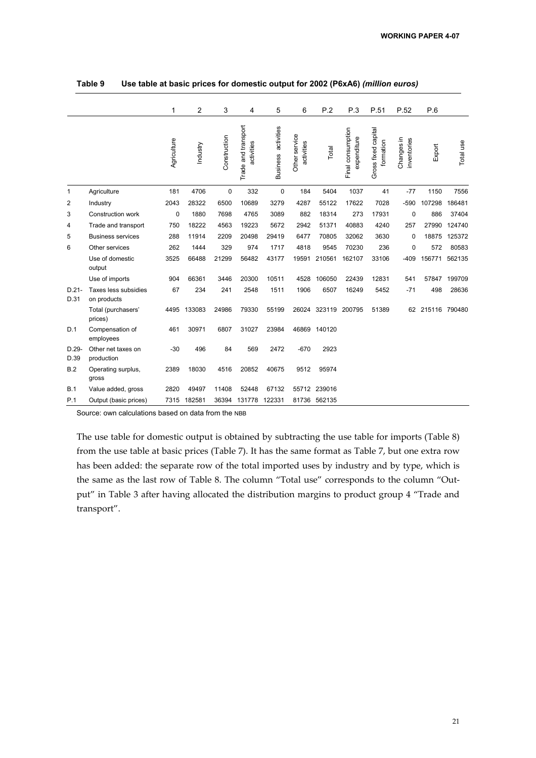|                  |                                     | 1           | $\overline{2}$ | 3            | 4                                 | 5                             | 6                           | P.2          | P.3                              | P.51                             | P.52                      | P.6              |           |
|------------------|-------------------------------------|-------------|----------------|--------------|-----------------------------------|-------------------------------|-----------------------------|--------------|----------------------------------|----------------------------------|---------------------------|------------------|-----------|
|                  |                                     | Agriculture | Industry       | Construction | Trade and transport<br>activities | activities<br><b>Business</b> | Other service<br>activities | Total        | Final consumption<br>expenditure | Gross fixed capital<br>formation | Changes in<br>inventories | Export           | Total use |
| 1                | Agriculture                         | 181         | 4706           | 0            | 332                               | $\mathbf 0$                   | 184                         | 5404         | 1037                             | 41                               | $-77$                     | 1150             | 7556      |
| 2                | Industry                            | 2043        | 28322          | 6500         | 10689                             | 3279                          | 4287                        | 55122        | 17622                            | 7028                             | $-590$                    | 107298           | 186481    |
| 3                | <b>Construction work</b>            | 0           | 1880           | 7698         | 4765                              | 3089                          | 882                         | 18314        | 273                              | 17931                            | $\mathbf 0$               | 886              | 37404     |
| 4                | Trade and transport                 | 750         | 18222          | 4563         | 19223                             | 5672                          | 2942                        | 51371        | 40883                            | 4240                             | 257                       | 27990            | 124740    |
| 5                | <b>Business services</b>            | 288         | 11914          | 2209         | 20498                             | 29419                         | 6477                        | 70805        | 32062                            | 3630                             | 0                         | 18875            | 125372    |
| 6                | Other services                      | 262         | 1444           | 329          | 974                               | 1717                          | 4818                        | 9545         | 70230                            | 236                              | $\mathbf 0$               | 572              | 80583     |
|                  | Use of domestic<br>output           | 3525        | 66488          | 21299        | 56482                             | 43177                         | 19591                       | 210561       | 162107                           | 33106                            | $-409$                    | 156771           | 562135    |
|                  | Use of imports                      | 904         | 66361          | 3446         | 20300                             | 10511                         | 4528                        | 106050       | 22439                            | 12831                            | 541                       | 57847            | 199709    |
| $D.21 -$<br>D.31 | Taxes less subsidies<br>on products | 67          | 234            | 241          | 2548                              | 1511                          | 1906                        | 6507         | 16249                            | 5452                             | $-71$                     | 498              | 28636     |
|                  | Total (purchasers'<br>prices)       | 4495        | 133083         | 24986        | 79330                             | 55199                         | 26024                       | 323119       | 200795                           | 51389                            |                           | 62 215116 790480 |           |
| D.1              | Compensation of<br>employees        | 461         | 30971          | 6807         | 31027                             | 23984                         | 46869                       | 140120       |                                  |                                  |                           |                  |           |
| $D.29-$<br>D.39  | Other net taxes on<br>production    | $-30$       | 496            | 84           | 569                               | 2472                          | $-670$                      | 2923         |                                  |                                  |                           |                  |           |
| B.2              | Operating surplus,<br>gross         | 2389        | 18030          | 4516         | 20852                             | 40675                         | 9512                        | 95974        |                                  |                                  |                           |                  |           |
| B.1              | Value added, gross                  | 2820        | 49497          | 11408        | 52448                             | 67132                         |                             | 55712 239016 |                                  |                                  |                           |                  |           |
| P.1              | Output (basic prices)               | 7315        | 182581         | 36394        | 131778                            | 122331                        |                             | 81736 562135 |                                  |                                  |                           |                  |           |

**Table 9 Use table at basic prices for domestic output for 2002 (P6xA6)** *(million euros)*

Source: own calculations based on data from the NBB

The use table for domestic output is obtained by subtracting the use table for imports (Table 8) from the use table at basic prices (Table 7). It has the same format as Table 7, but one extra row has been added: the separate row of the total imported uses by industry and by type, which is the same as the last row of Table 8. The column "Total use" corresponds to the column "Output" in Table 3 after having allocated the distribution margins to product group 4 "Trade and transport".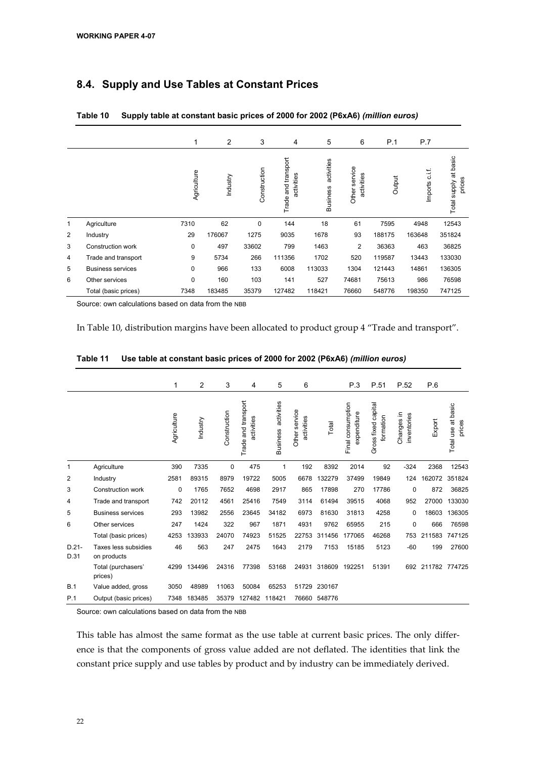## **8.4. Supply and Use Tables at Constant Prices**

|   |                          | 1           | 2        | 3            | 4                                    | 5                             | 6                           | P.1    | P.7              |                                 |
|---|--------------------------|-------------|----------|--------------|--------------------------------------|-------------------------------|-----------------------------|--------|------------------|---------------------------------|
|   |                          | Agriculture | Industry | Construction | and transport<br>activities<br>Trade | activities<br><b>Business</b> | Other service<br>activities | Output | c.i.f<br>Imports | Total supply at basic<br>prices |
| 1 | Agriculture              | 7310        | 62       | 0            | 144                                  | 18                            | 61                          | 7595   | 4948             | 12543                           |
| 2 | Industry                 | 29          | 176067   | 1275         | 9035                                 | 1678                          | 93                          | 188175 | 163648           | 351824                          |
| 3 | Construction work        | 0           | 497      | 33602        | 799                                  | 1463                          | 2                           | 36363  | 463              | 36825                           |
| 4 | Trade and transport      | 9           | 5734     | 266          | 111356                               | 1702                          | 520                         | 119587 | 13443            | 133030                          |
| 5 | <b>Business services</b> | $\Omega$    | 966      | 133          | 6008                                 | 113033                        | 1304                        | 121443 | 14861            | 136305                          |
| 6 | Other services           | $\mathbf 0$ | 160      | 103          | 141                                  | 527                           | 74681                       | 75613  | 986              | 76598                           |
|   | Total (basic prices)     | 7348        | 183485   | 35379        | 127482                               | 118421                        | 76660                       | 548776 | 198350           | 747125                          |

| Table 10 | Supply table at constant basic prices of 2000 for 2002 (P6xA6) (million euros) |  |  |
|----------|--------------------------------------------------------------------------------|--|--|
|----------|--------------------------------------------------------------------------------|--|--|

Source: own calculations based on data from the NBB

In Table 10, distribution margins have been allocated to product group 4 "Trade and transport".

|                  |                                     | 1           | 2        | 3            | 4                                 | 5                             | 6                           |        | P.3                              | P.51                             | P.52                      | P.6           |                              |
|------------------|-------------------------------------|-------------|----------|--------------|-----------------------------------|-------------------------------|-----------------------------|--------|----------------------------------|----------------------------------|---------------------------|---------------|------------------------------|
|                  |                                     | Agriculture | Industry | Construction | Trade and transport<br>activities | activities<br><b>Business</b> | Other service<br>activities | Total  | Final consumption<br>expenditure | Gross fixed capital<br>formation | Changes in<br>inventories | Export        | Total use at basic<br>prices |
| 1                | Agriculture                         | 390         | 7335     | $\mathbf 0$  | 475                               | 1                             | 192                         | 8392   | 2014                             | 92                               | $-324$                    | 2368          | 12543                        |
| $\overline{2}$   | Industry                            | 2581        | 89315    | 8979         | 19722                             | 5005                          | 6678                        | 132279 | 37499                            | 19849                            | 124                       | 162072        | 351824                       |
| 3                | Construction work                   | 0           | 1765     | 7652         | 4698                              | 2917                          | 865                         | 17898  | 270                              | 17786                            | 0                         | 872           | 36825                        |
| 4                | Trade and transport                 | 742         | 20112    | 4561         | 25416                             | 7549                          | 3114                        | 61494  | 39515                            | 4068                             | 952                       | 27000         | 133030                       |
| 5                | <b>Business services</b>            | 293         | 13982    | 2556         | 23645                             | 34182                         | 6973                        | 81630  | 31813                            | 4258                             | 0                         | 18603         | 136305                       |
| 6                | Other services                      | 247         | 1424     | 322          | 967                               | 1871                          | 4931                        | 9762   | 65955                            | 215                              | 0                         | 666           | 76598                        |
|                  | Total (basic prices)                | 4253        | 133933   | 24070        | 74923                             | 51525                         | 22753                       | 311456 | 177065                           | 46268                            | 753                       | 211583        | 747125                       |
| $D.21 -$<br>D.31 | Taxes less subsidies<br>on products | 46          | 563      | 247          | 2475                              | 1643                          | 2179                        | 7153   | 15185                            | 5123                             | $-60$                     | 199           | 27600                        |
|                  | Total (purchasers'<br>prices)       | 4299        | 134496   | 24316        | 77398                             | 53168                         | 24931                       | 318609 | 192251                           | 51391                            | 692                       | 211782 774725 |                              |
| B.1              | Value added, gross                  | 3050        | 48989    | 11063        | 50084                             | 65253                         | 51729                       | 230167 |                                  |                                  |                           |               |                              |
| P.1              | Output (basic prices)               | 7348        | 183485   | 35379        | 127482                            | 118421                        | 76660                       | 548776 |                                  |                                  |                           |               |                              |

**Table 11 Use table at constant basic prices of 2000 for 2002 (P6xA6)** *(million euros)*

Source: own calculations based on data from the NBB

This table has almost the same format as the use table at current basic prices. The only difference is that the components of gross value added are not deflated. The identities that link the constant price supply and use tables by product and by industry can be immediately derived.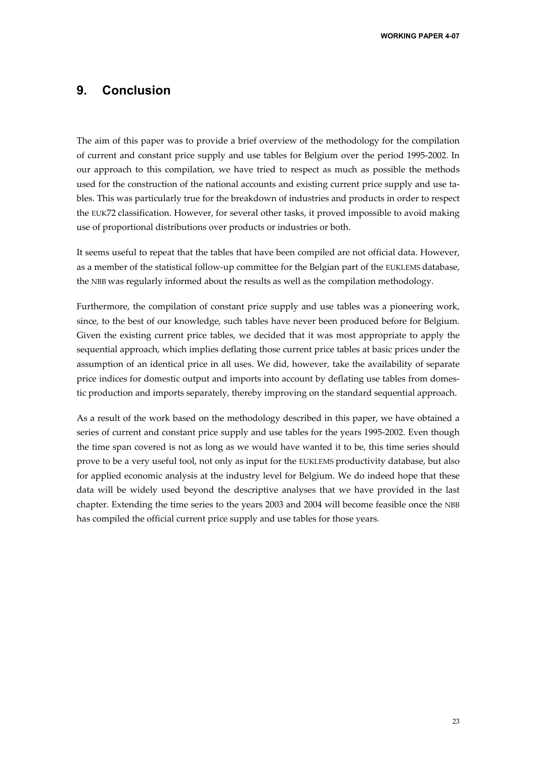## **9. Conclusion**

The aim of this paper was to provide a brief overview of the methodology for the compilation of current and constant price supply and use tables for Belgium over the period 1995-2002. In our approach to this compilation, we have tried to respect as much as possible the methods used for the construction of the national accounts and existing current price supply and use tables. This was particularly true for the breakdown of industries and products in order to respect the EUK72 classification. However, for several other tasks, it proved impossible to avoid making use of proportional distributions over products or industries or both.

It seems useful to repeat that the tables that have been compiled are not official data. However, as a member of the statistical follow-up committee for the Belgian part of the EUKLEMS database, the NBB was regularly informed about the results as well as the compilation methodology.

Furthermore, the compilation of constant price supply and use tables was a pioneering work, since, to the best of our knowledge, such tables have never been produced before for Belgium. Given the existing current price tables, we decided that it was most appropriate to apply the sequential approach, which implies deflating those current price tables at basic prices under the assumption of an identical price in all uses. We did, however, take the availability of separate price indices for domestic output and imports into account by deflating use tables from domestic production and imports separately, thereby improving on the standard sequential approach.

As a result of the work based on the methodology described in this paper, we have obtained a series of current and constant price supply and use tables for the years 1995-2002. Even though the time span covered is not as long as we would have wanted it to be, this time series should prove to be a very useful tool, not only as input for the EUKLEMS productivity database, but also for applied economic analysis at the industry level for Belgium. We do indeed hope that these data will be widely used beyond the descriptive analyses that we have provided in the last chapter. Extending the time series to the years 2003 and 2004 will become feasible once the NBB has compiled the official current price supply and use tables for those years.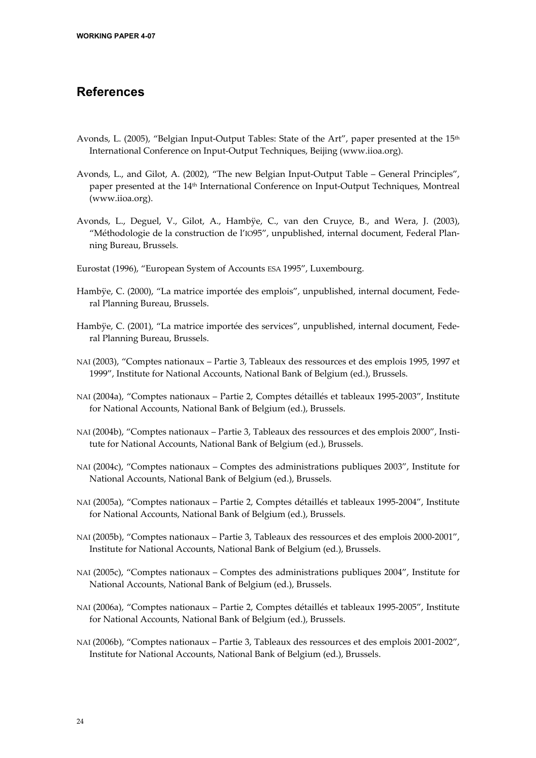## **References**

- Avonds, L. (2005), "Belgian Input-Output Tables: State of the Art", paper presented at the 15<sup>th</sup> International Conference on Input-Output Techniques, Beijing (www.iioa.org).
- Avonds, L., and Gilot, A. (2002), "The new Belgian Input-Output Table General Principles", paper presented at the 14th International Conference on Input-Output Techniques, Montreal (www.iioa.org).
- Avonds, L., Deguel, V., Gilot, A., Hambÿe, C., van den Cruyce, B., and Wera, J. (2003), "Méthodologie de la construction de l'IO95", unpublished, internal document, Federal Planning Bureau, Brussels.
- Eurostat (1996), "European System of Accounts ESA 1995", Luxembourg.
- Hambÿe, C. (2000), "La matrice importée des emplois", unpublished, internal document, Federal Planning Bureau, Brussels.
- Hambÿe, C. (2001), "La matrice importée des services", unpublished, internal document, Federal Planning Bureau, Brussels.
- NAI (2003), "Comptes nationaux Partie 3, Tableaux des ressources et des emplois 1995, 1997 et 1999", Institute for National Accounts, National Bank of Belgium (ed.), Brussels.
- NAI (2004a), "Comptes nationaux Partie 2, Comptes détaillés et tableaux 1995-2003", Institute for National Accounts, National Bank of Belgium (ed.), Brussels.
- NAI (2004b), "Comptes nationaux Partie 3, Tableaux des ressources et des emplois 2000", Institute for National Accounts, National Bank of Belgium (ed.), Brussels.
- NAI (2004c), "Comptes nationaux Comptes des administrations publiques 2003", Institute for National Accounts, National Bank of Belgium (ed.), Brussels.
- NAI (2005a), "Comptes nationaux Partie 2, Comptes détaillés et tableaux 1995-2004", Institute for National Accounts, National Bank of Belgium (ed.), Brussels.
- NAI (2005b), "Comptes nationaux Partie 3, Tableaux des ressources et des emplois 2000-2001", Institute for National Accounts, National Bank of Belgium (ed.), Brussels.
- NAI (2005c), "Comptes nationaux Comptes des administrations publiques 2004", Institute for National Accounts, National Bank of Belgium (ed.), Brussels.
- NAI (2006a), "Comptes nationaux Partie 2, Comptes détaillés et tableaux 1995-2005", Institute for National Accounts, National Bank of Belgium (ed.), Brussels.
- NAI (2006b), "Comptes nationaux Partie 3, Tableaux des ressources et des emplois 2001-2002", Institute for National Accounts, National Bank of Belgium (ed.), Brussels.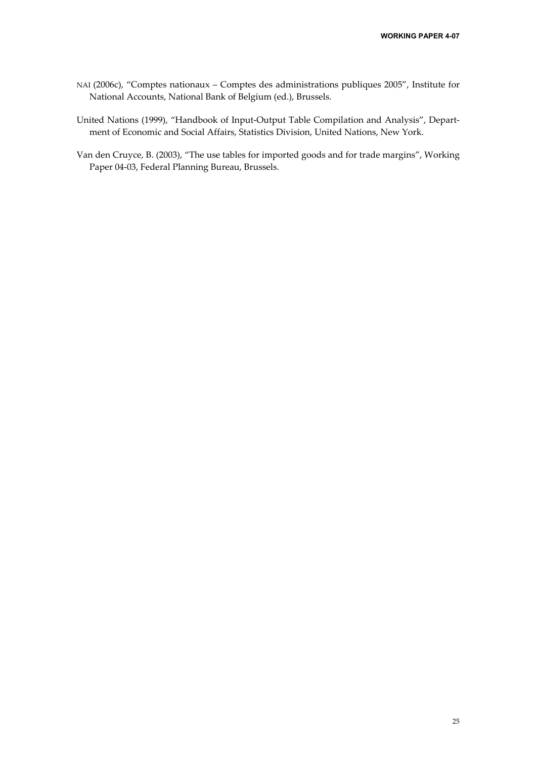- NAI (2006c), "Comptes nationaux Comptes des administrations publiques 2005", Institute for National Accounts, National Bank of Belgium (ed.), Brussels.
- United Nations (1999), "Handbook of Input-Output Table Compilation and Analysis", Department of Economic and Social Affairs, Statistics Division, United Nations, New York.
- Van den Cruyce, B. (2003), "The use tables for imported goods and for trade margins", Working Paper 04-03, Federal Planning Bureau, Brussels.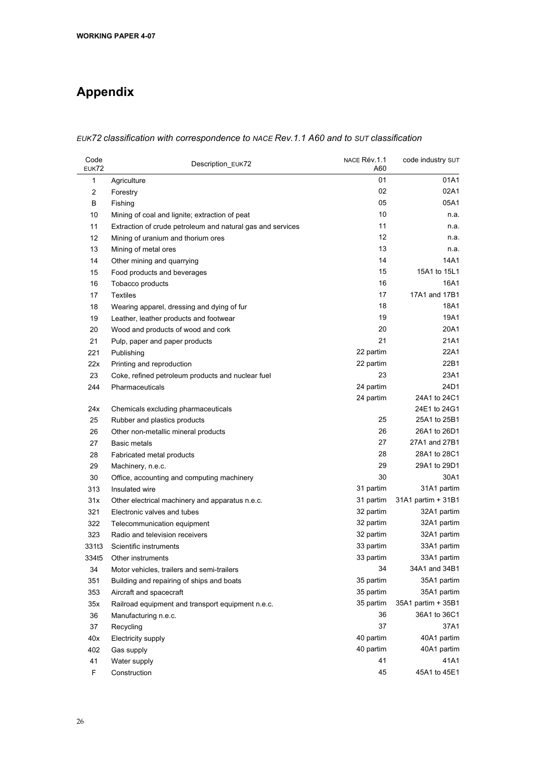# **Appendix**

#### *EUK72 classification with correspondence to NACE Rev.1.1 A60 and to SUT classification*

| Code<br><b>EUK72</b> | Description_EUK72                                          | NACE Rév.1.1<br>A60 | code industry SUT  |  |
|----------------------|------------------------------------------------------------|---------------------|--------------------|--|
| 1                    | Agriculture                                                | 01                  | 01A1               |  |
| $\overline{c}$       | Forestry                                                   | 02                  | 02A1               |  |
| В                    | Fishing                                                    | 05                  | 05A1               |  |
| 10                   | Mining of coal and lignite; extraction of peat             | 10                  | n.a.               |  |
| 11                   | Extraction of crude petroleum and natural gas and services | 11                  | n.a.               |  |
| 12                   | Mining of uranium and thorium ores                         | 12                  | n.a.               |  |
| 13                   | Mining of metal ores                                       | 13                  | n.a.               |  |
| 14                   | Other mining and quarrying                                 | 14                  | 14A1               |  |
| 15                   | Food products and beverages                                | 15                  | 15A1 to 15L1       |  |
| 16                   | Tobacco products                                           | 16                  | 16A1               |  |
| 17                   | <b>Textiles</b>                                            | 17                  | 17A1 and 17B1      |  |
| 18                   | Wearing apparel, dressing and dying of fur                 | 18                  | 18A1               |  |
| 19                   | Leather, leather products and footwear                     | 19                  | 19A1               |  |
| 20                   | Wood and products of wood and cork                         | 20                  | 20A1               |  |
| 21                   | Pulp, paper and paper products                             | 21                  | 21A1               |  |
| 221                  | Publishing                                                 | 22 partim           | 22A1               |  |
| 22x                  | Printing and reproduction                                  | 22 partim           | 22B1               |  |
| 23                   | Coke, refined petroleum products and nuclear fuel          | 23                  | 23A1               |  |
| 244                  | Pharmaceuticals                                            | 24 partim           | 24D1               |  |
|                      |                                                            | 24 partim           | 24A1 to 24C1       |  |
| 24x                  | Chemicals excluding pharmaceuticals                        |                     | 24E1 to 24G1       |  |
| 25                   | Rubber and plastics products                               | 25                  | 25A1 to 25B1       |  |
| 26                   | Other non-metallic mineral products                        | 26                  | 26A1 to 26D1       |  |
| 27                   | Basic metals                                               | 27                  | 27A1 and 27B1      |  |
| 28                   | Fabricated metal products                                  | 28                  | 28A1 to 28C1       |  |
| 29                   | Machinery, n.e.c.                                          | 29                  | 29A1 to 29D1       |  |
| 30                   | Office, accounting and computing machinery                 | 30                  | 30A1               |  |
| 313                  | Insulated wire                                             | 31 partim           | 31A1 partim        |  |
| 31x                  | Other electrical machinery and apparatus n.e.c.            | 31 partim           | 31A1 partim + 31B1 |  |
| 321                  | Electronic valves and tubes                                | 32 partim           | 32A1 partim        |  |
| 322                  | Telecommunication equipment                                | 32 partim           | 32A1 partim        |  |
| 323                  | Radio and television receivers                             | 32 partim           | 32A1 partim        |  |
| 331t3                | Scientific instruments                                     | 33 partim           | 33A1 partim        |  |
| 334t5                | Other instruments                                          | 33 partim           | 33A1 partim        |  |
| 34                   | Motor vehicles, trailers and semi-trailers                 | 34                  | 34A1 and 34B1      |  |
| 351                  | Building and repairing of ships and boats                  | 35 partim           | 35A1 partim        |  |
| 353                  | Aircraft and spacecraft                                    | 35 partim           | 35A1 partim        |  |
| 35x                  | Railroad equipment and transport equipment n.e.c.          | 35 partim           | 35A1 partim + 35B1 |  |
| 36                   | Manufacturing n.e.c.                                       | 36                  | 36A1 to 36C1       |  |
| 37                   | Recycling                                                  | 37                  | 37A1               |  |
| 40x                  | Electricity supply                                         | 40 partim           | 40A1 partim        |  |
| 402                  | Gas supply                                                 | 40 partim           | 40A1 partim        |  |
| 41                   | Water supply                                               | 41                  | 41A1               |  |
| F                    | Construction                                               | 45                  | 45A1 to 45E1       |  |